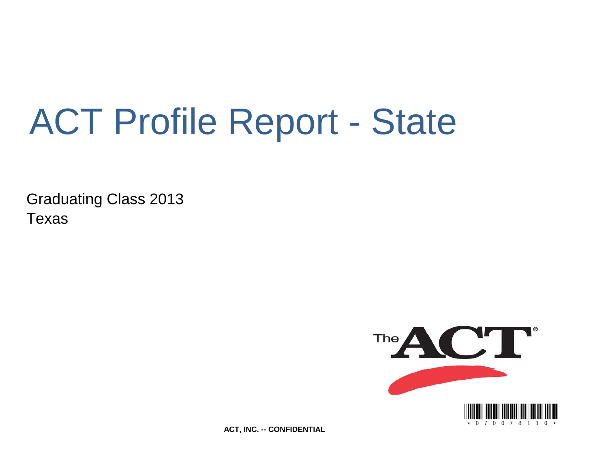# ACT Profile Report - State

Graduating Class 2013 Texas



**ACT, INC. -- CONFIDENTIAL**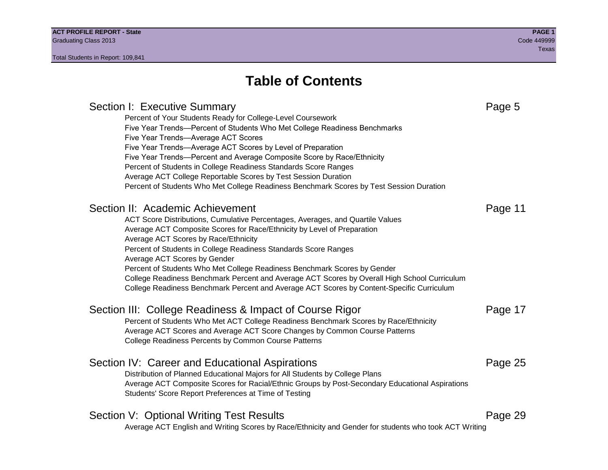# **Table of Contents**

Section I: Executive Summary **Page 5** and the section I: Executive Summary Percent of Your Students Ready for College-Level Coursework Five Year Trends—Percent of Students Who Met College Readiness Benchmarks Five Year Trends—Average ACT Scores Five Year Trends—Average ACT Scores by Level of Preparation Five Year Trends—Percent and Average Composite Score by Race/Ethnicity Percent of Students in College Readiness Standards Score Ranges Average ACT College Reportable Scores by Test Session Duration Percent of Students Who Met College Readiness Benchmark Scores by Test Session Duration Section II: Academic Achievement **Page 11** Page 11 ACT Score Distributions, Cumulative Percentages, Averages, and Quartile Values Average ACT Composite Scores for Race/Ethnicity by Level of Preparation Average ACT Scores by Race/Ethnicity Percent of Students in College Readiness Standards Score Ranges Average ACT Scores by Gender Percent of Students Who Met College Readiness Benchmark Scores by Gender College Readiness Benchmark Percent and Average ACT Scores by Overall High School Curriculum College Readiness Benchmark Percent and Average ACT Scores by Content-Specific Curriculum Section III: College Readiness & Impact of Course Rigor Page 17 Percent of Students Who Met ACT College Readiness Benchmark Scores by Race/Ethnicity Average ACT Scores and Average ACT Score Changes by Common Course Patterns College Readiness Percents by Common Course Patterns Section IV: Career and Educational Aspirations **Page 25** Page 25 Distribution of Planned Educational Majors for All Students by College Plans Average ACT Composite Scores for Racial/Ethnic Groups by Post-Secondary Educational Aspirations Students' Score Report Preferences at Time of Testing Section V: Optional Writing Test Results **Page 29** Page 29 Average ACT English and Writing Scores by Race/Ethnicity and Gender for students who took ACT Writing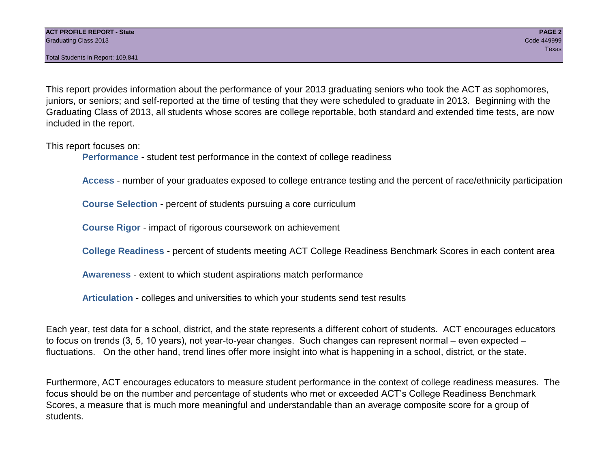This report provides information about the performance of your 2013 graduating seniors who took the ACT as sophomores, juniors, or seniors; and self-reported at the time of testing that they were scheduled to graduate in 2013. Beginning with the Graduating Class of 2013, all students whose scores are college reportable, both standard and extended time tests, are now included in the report.

This report focuses on:

**Performance** - student test performance in the context of college readiness

**Access** - number of your graduates exposed to college entrance testing and the percent of race/ethnicity participation

**Course Selection** - percent of students pursuing a core curriculum

**Course Rigor** - impact of rigorous coursework on achievement

**College Readiness** - percent of students meeting ACT College Readiness Benchmark Scores in each content area

**Awareness** - extent to which student aspirations match performance

**Articulation** - colleges and universities to which your students send test results

Each year, test data for a school, district, and the state represents a different cohort of students. ACT encourages educators to focus on trends (3, 5, 10 years), not year-to-year changes. Such changes can represent normal – even expected – fluctuations. On the other hand, trend lines offer more insight into what is happening in a school, district, or the state.

Furthermore, ACT encourages educators to measure student performance in the context of college readiness measures. The focus should be on the number and percentage of students who met or exceeded ACT's College Readiness Benchmark Scores, a measure that is much more meaningful and understandable than an average composite score for a group of students.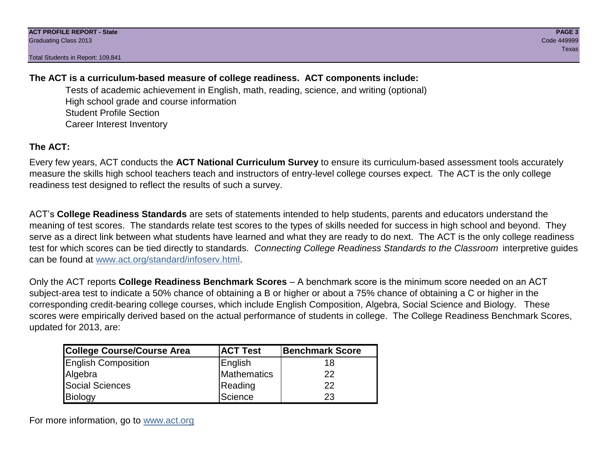# **The ACT is a curriculum-based measure of college readiness. ACT components include:**

Tests of academic achievement in English, math, reading, science, and writing (optional) High school grade and course information Student Profile Section Career Interest Inventory

# **The ACT:**

Every few years, ACT conducts the **ACT National Curriculum Survey** to ensure its curriculum-based assessment tools accurately measure the skills high school teachers teach and instructors of entry-level college courses expect. The ACT is the only college readiness test designed to reflect the results of such a survey.

ACT's **College Readiness Standards** are sets of statements intended to help students, parents and educators understand the meaning of test scores. The standards relate test scores to the types of skills needed for success in high school and beyond. They serve as a direct link between what students have learned and what they are ready to do next. The ACT is the only college readiness test for which scores can be tied directly to standards. *Connecting College Readiness Standards to the Classroom* interpretive guides can be found at www.act.org/standard/infoserv.html.

Only the ACT reports **College Readiness Benchmark Scores** – A benchmark score is the minimum score needed on an ACT subject-area test to indicate a 50% chance of obtaining a B or higher or about a 75% chance of obtaining a C or higher in the corresponding credit-bearing college courses, which include English Composition, Algebra, Social Science and Biology. These scores were empirically derived based on the actual performance of students in college. The College Readiness Benchmark Scores, updated for 2013, are:

| <b>College Course/Course Area</b> | <b>ACT Test</b> | Benchmark Score |
|-----------------------------------|-----------------|-----------------|
| <b>English Composition</b>        | English         | 18              |
| Algebra                           | Mathematics     | 22              |
| <b>Social Sciences</b>            | Reading         | 22              |
| Biology                           | Science         | 23              |

For more information, go to www.act.org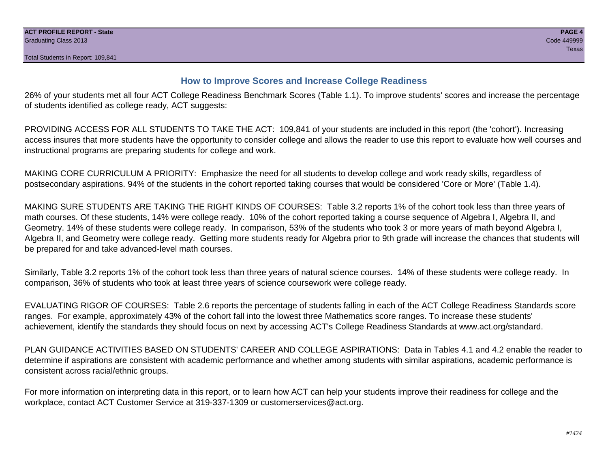# **How to Improve Scores and Increase College Readiness**

26% of your students met all four ACT College Readiness Benchmark Scores (Table 1.1). To improve students' scores and increase the percentage of students identified as college ready, ACT suggests:

PROVIDING ACCESS FOR ALL STUDENTS TO TAKE THE ACT: 109,841 of your students are included in this report (the 'cohort'). Increasing access insures that more students have the opportunity to consider college and allows the reader to use this report to evaluate how well courses and instructional programs are preparing students for college and work.

MAKING CORE CURRICULUM A PRIORITY: Emphasize the need for all students to develop college and work ready skills, regardless of postsecondary aspirations. 94% of the students in the cohort reported taking courses that would be considered 'Core or More' (Table 1.4).

MAKING SURE STUDENTS ARE TAKING THE RIGHT KINDS OF COURSES: Table 3.2 reports 1% of the cohort took less than three years of math courses. Of these students, 14% were college ready. 10% of the cohort reported taking a course sequence of Algebra I, Algebra II, and Geometry. 14% of these students were college ready. In comparison, 53% of the students who took 3 or more years of math beyond Algebra I, Algebra II, and Geometry were college ready. Getting more students ready for Algebra prior to 9th grade will increase the chances that students will be prepared for and take advanced-level math courses.

Similarly, Table 3.2 reports 1% of the cohort took less than three years of natural science courses. 14% of these students were college ready. In comparison, 36% of students who took at least three years of science coursework were college ready.

EVALUATING RIGOR OF COURSES: Table 2.6 reports the percentage of students falling in each of the ACT College Readiness Standards score ranges. For example, approximately 43% of the cohort fall into the lowest three Mathematics score ranges. To increase these students' achievement, identify the standards they should focus on next by accessing ACT's College Readiness Standards at www.act.org/standard.

PLAN GUIDANCE ACTIVITIES BASED ON STUDENTS' CAREER AND COLLEGE ASPIRATIONS: Data in Tables 4.1 and 4.2 enable the reader to determine if aspirations are consistent with academic performance and whether among students with similar aspirations, academic performance is consistent across racial/ethnic groups.

For more information on interpreting data in this report, or to learn how ACT can help your students improve their readiness for college and the workplace, contact ACT Customer Service at 319-337-1309 or customerservices@act.org.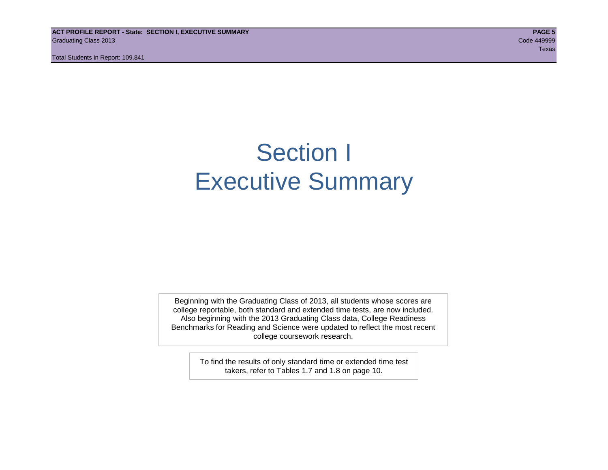**ACT PROFILE REPORT - State: SECTION I, EXECUTIVE SUMMARY PAGE 5** Graduating Class 2013 Code 449999

Total Students in Report: 109,841

teration of the contract of the contract of the contract of the contract of the contract of the contract of the

# Section I Executive Summary

Beginning with the Graduating Class of 2013, all students whose scores are college reportable, both standard and extended time tests, are now included. Also beginning with the 2013 Graduating Class data, College Readiness Benchmarks for Reading and Science were updated to reflect the most recent college coursework research.

> To find the results of only standard time or extended time test takers, refer to Tables 1.7 and 1.8 on page 10.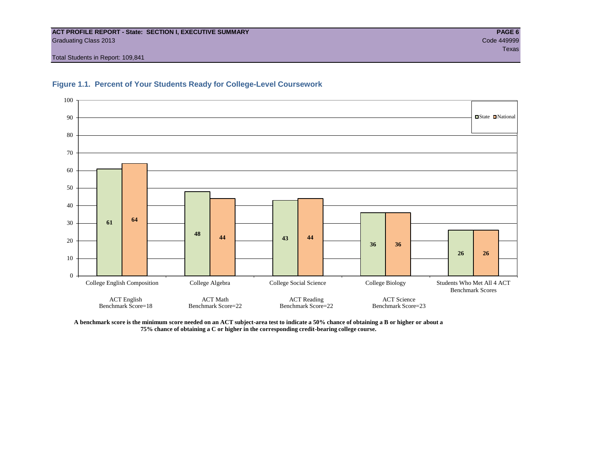#### **ACT PROFILE REPORT - State: SECTION I, EXECUTIVE SUMMARY PAGE 6** Graduating Class 2013 Code 449999

Total Students in Report: 109,841





**A benchmark score is the minimum score needed on an ACT subject-area test to indicate a 50% chance of obtaining a B or higher or about a 75% chance of obtaining a C or higher in the corresponding credit-bearing college course.**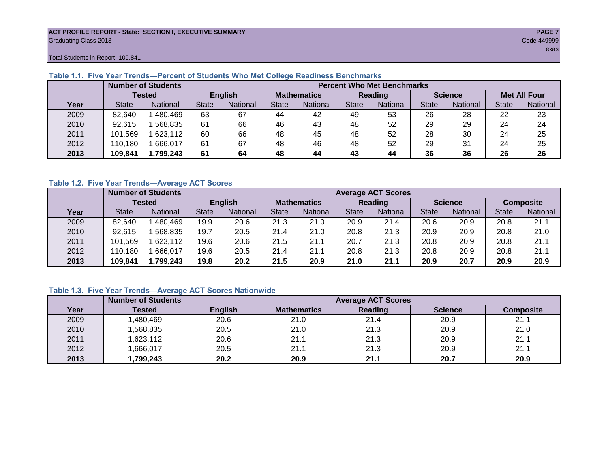#### **ACT PROFILE REPORT - State: SECTION I, EXECUTIVE SUMMARY PAGE 7** Graduating Class 2013 Code 449999

teration of the contract of the contract of the contract of the contract of the contract of the contract of the

Total Students in Report: 109,841

|      |              | <b>Number of Students</b> |              | <b>Percent Who Met Benchmarks</b> |                    |                 |                |          |                |          |                     |          |  |  |
|------|--------------|---------------------------|--------------|-----------------------------------|--------------------|-----------------|----------------|----------|----------------|----------|---------------------|----------|--|--|
|      |              | <b>Tested</b>             |              | <b>English</b>                    | <b>Mathematics</b> |                 | <b>Reading</b> |          | <b>Science</b> |          | <b>Met All Four</b> |          |  |  |
| Year | <b>State</b> | <b>National</b>           | <b>State</b> | National<br><b>State</b>          |                    | <b>National</b> | <b>State</b>   | National |                | National | <b>State</b>        | National |  |  |
| 2009 | 82,640       | .480.469                  | 63           | 67                                | 44                 | 42              | 49             | 53       | 26             | 28       | 22                  | 23       |  |  |
| 2010 | 92,615       | .568.835                  | 61           | 66                                | 46                 | 43              | 48             | 52       | 29             | 29       | 24                  | 24       |  |  |
| 2011 | 101,569      | 623,112                   | 60           | 66                                | 48                 | 45              | 48             | 52       | 28             | 30       | 24                  | 25       |  |  |
| 2012 | 110,180      | .666,017                  | 61           | 67                                | 48                 | 46              | 48             | 52       | 29             | 31       | 24                  | 25       |  |  |
| 2013 | 109,841      | 1,799,243                 | 61           | 64                                | 48                 | 44              | 43             | 44       | 36             | 36       | 26                  | 26       |  |  |

# **Table 1.1. Five Year Trends—Percent of Students Who Met College Readiness Benchmarks**

## **Table 1.2. Five Year Trends—Average ACT Scores**

|      |              | <b>Number of Students</b> |              |                   |                    | <b>Average ACT Scores</b> |                |                 |                |          |                  |          |  |  |
|------|--------------|---------------------------|--------------|-------------------|--------------------|---------------------------|----------------|-----------------|----------------|----------|------------------|----------|--|--|
|      |              | Tested                    |              | <b>English</b>    | <b>Mathematics</b> |                           | <b>Reading</b> |                 | <b>Science</b> |          | <b>Composite</b> |          |  |  |
| Year | <b>State</b> | <b>National</b>           | <b>State</b> | National<br>State |                    | National                  | State          | <b>National</b> |                | National | <b>State</b>     | National |  |  |
| 2009 | 82,640       | .480,469                  | 19.9         | 20.6              | 21.3               | 21.0                      | 20.9           | 21.4            | 20.6           | 20.9     | 20.8             | 21.1     |  |  |
| 2010 | 92,615       | .568.835                  | 19.7         | 20.5              | 21.4               | 21.0                      | 20.8           | 21.3            | 20.9           | 20.9     | 20.8             | 21.0     |  |  |
| 2011 | 101,569      | ,623,112                  | 19.6         | 20.6              | 21.5               | 21.1                      | 20.7           | 21.3            | 20.8           | 20.9     | 20.8             | 21.1     |  |  |
| 2012 | 110,180      | .666,017                  | 19.6         | 20.5              | 21.4               | 21.1                      | 20.8           | 21.3            | 20.8           | 20.9     | 20.8             | 21.1     |  |  |
| 2013 | 109,841      | 1,799,243                 | 19.8         | 20.2              | 21.5               | 20.9                      | 21.0           | 21.1            | 20.9           | 20.7     | 20.9             | 20.9     |  |  |

# **Table 1.3. Five Year Trends—Average ACT Scores Nationwide**

|      | <b>Number of Students</b> |                | <b>Average ACT Scores</b> |         |                |                  |  |  |  |  |  |  |  |
|------|---------------------------|----------------|---------------------------|---------|----------------|------------------|--|--|--|--|--|--|--|
| Year | Tested                    | <b>English</b> | <b>Mathematics</b>        | Reading | <b>Science</b> | <b>Composite</b> |  |  |  |  |  |  |  |
| 2009 | ,480,469                  | 20.6           | 21.0                      | 21.4    | 20.9           | 21.1             |  |  |  |  |  |  |  |
| 2010 | ,568,835                  | 20.5           | 21.0                      | 21.3    | 20.9           | 21.0             |  |  |  |  |  |  |  |
| 2011 | ,623,112                  | 20.6           | 21.1                      | 21.3    | 20.9           | 21.1             |  |  |  |  |  |  |  |
| 2012 | ,666,017                  | 20.5           | 21.1                      | 21.3    | 20.9           | 21.1             |  |  |  |  |  |  |  |
| 2013 | 1,799,243                 | 20.2           | 20.9                      | 21.1    | 20.7           | 20.9             |  |  |  |  |  |  |  |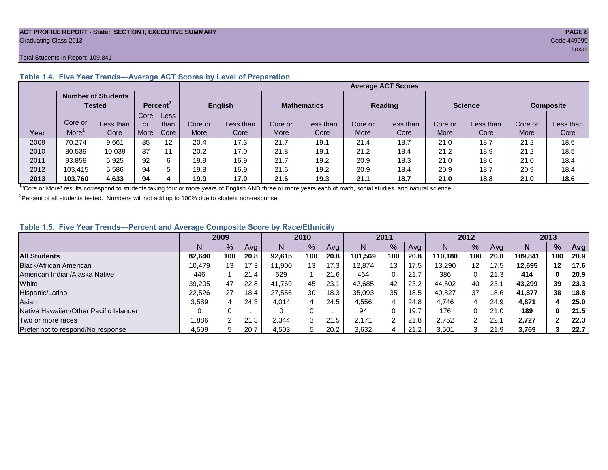#### **ACT PROFILE REPORT - State: SECTION I, EXECUTIVE SUMMARY PAGE 8** Graduating Class 2013 Code 449999

#### Total Students in Report: 109,841

|      |         | <b>Number of Students</b><br><b>Tested</b> |      | Percent <sup>2</sup> |             | <b>English</b> |         | <b>Mathematics</b> | <b>Reading</b> |           | <b>Science</b> |           | <b>Composite</b> |           |
|------|---------|--------------------------------------------|------|----------------------|-------------|----------------|---------|--------------------|----------------|-----------|----------------|-----------|------------------|-----------|
|      |         |                                            | Core | Less                 |             |                |         |                    |                |           |                |           |                  |           |
|      | Core or | Less than                                  | or   | than                 | Core or     | Less than      | Core or | Less than          | Core or        | Less than | Core or        | Less than | Core or          | Less than |
| Year | More    | Core                                       | More | Core                 | <b>More</b> | Core           | More    | Core               | More           | Core      | More           | Core      | <b>More</b>      | Core      |
| 2009 | 70.274  | 9.661                                      | 85   | 12                   | 20.4        | 17.3           | 21.7    | 19.1               | 21.4           | 18.7      | 21.0           | 18.7      | 21.2             | 18.6      |
| 2010 | 80,539  | 10,039                                     | 87   | 11                   | 20.2        | 17.0           | 21.8    | 19.1               | 21.2           | 18.4      | 21.2           | 18.9      | 21.2             | 18.5      |
| 2011 | 93,858  | 5,925                                      | 92   | 6                    | 19.9        | 16.9           | 21.7    | 19.2               | 20.9           | 18.3      | 21.0           | 18.6      | 21.0             | 18.4      |
| 2012 | 103,415 | 5,586                                      | 94   | 5                    | 19.8        | 16.9           | 21.6    | 19.2               | 20.9           | 18.4      | 20.9           | 18.7      | 20.9             | 18.4      |
| 2013 | 103,760 | 4,633                                      | 94   |                      | 19.9        | 17.0           | 21.6    | 19.3               | 21.1           | 18.7      | 21.0           | 18.8      | 21.0             | 18.6      |

# **Table 1.4. Five Year Trends—Average ACT Scores by Level of Preparation**

<sup>1</sup>"Core or More" results correspond to students taking four or more years of English AND three or more years each of math, social studies, and natural science.

 $2$ Percent of all students tested. Numbers will not add up to 100% due to student non-response.

# **Table 1.5. Five Year Trends—Percent and Average Composite Score by Race/Ethnicity**

|                                        |        | 2009 |      |        | 2010          |      |         | 2011 |      |         | 2012 |      |         | 2013    |      |
|----------------------------------------|--------|------|------|--------|---------------|------|---------|------|------|---------|------|------|---------|---------|------|
|                                        | N      | %    | Avg  | N      | $\frac{9}{6}$ | Avg  | N       | %    | Avg  | Ν       | %    | Ava  | N       | %       | Avg  |
| <b>All Students</b>                    | 82.640 | 100  | 20.8 | 92.615 | 100           | 20.8 | 101.569 | 100  | 20.8 | 110.180 | 100  | 20.8 | 109.841 | 100     | 20.9 |
| Black/African American                 | 10.479 | 13   | 17.3 | 11,900 | 13            | 17.3 | 12.874  | 13   | 17.5 | 13,290  | 12   | 17.5 | 12.695  | $12 \,$ | 17.6 |
| American Indian/Alaska Native          | 446    |      | 21.4 | 529    |               | 21.6 | 464     | 0    | 21.7 | 386     | 0    | 21.3 | 414     |         | 20.9 |
| White                                  | 39,205 | 47   | 22.8 | 41.769 | 45            | 23.1 | 42.685  | 42   | 23.2 | 44.502  | 40   | 23.1 | 43.299  | 39      | 23.3 |
| Hispanic/Latino                        | 22.526 | 27   | 18.4 | 27.556 | 30            | 18.3 | 35,093  | 35   | 18.5 | 40.827  | 37   | 18.6 | 41.877  | 38      | 18.8 |
| Asian                                  | 3,589  |      | 24.3 | 4,014  | 4             | 24.5 | 4,556   | 4    | 24.8 | 4,746   | 4    | 24.9 | 4,871   | д       | 25.0 |
| Native Hawaiian/Other Pacific Islander |        |      |      |        | $\Omega$      |      | 94      | 0    | 19.7 | 176     | 0    | 21.0 | 189     | 0       | 21.5 |
| Two or more races                      | .886   |      | 21.3 | 2,344  | $\sim$<br>-3  | 21.5 | 2.171   | 2    | 21.8 | 2.752   | ົ    | 22.7 | 2.727   |         | 22.3 |
| Prefer not to respond/No response      | 4,509  |      | 20.7 | 4,503  | 5             | 20.2 | 3,632   | Д    | 21.2 | 3,501   | ົ    | 21.9 | 3,769   |         | 22.7 |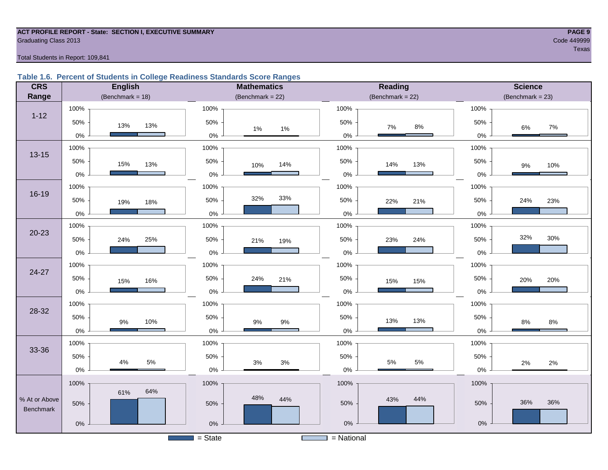#### **ACT PROFILE REPORT - State: SECTION I, EXECUTIVE SUMMARY PAGE 9 Graduating Class 2013** Code 449999 Code 449999

teration of the contract of the contract of the contract of the contract of the contract of the contract of the

#### Total Students in Report: 109,841

# **Table 1.6. Percent of Students in College Readiness Standards Score Ranges**

| <b>CRS</b>    | <b>English</b>      | <b>Mathematics</b>                    | <b>Reading</b>        | <b>Science</b>       |
|---------------|---------------------|---------------------------------------|-----------------------|----------------------|
| Range         | (Benchmark = $18$ ) | (Benchmark = $22$ )                   | $(Benchmark = 22)$    | (Benchmark = $23$ )  |
|               | 100%                | 100%                                  | 100%                  | 100%                 |
| $1 - 12$      | 50%<br>13%<br>13%   | 50%<br>1%<br>1%                       | 50%<br>$8\%$<br>7%    | 50%<br>7%<br>6%      |
|               | $0\%$               | $0\%$                                 | 0%                    | 0%                   |
| $13 - 15$     | 100%                | 100%                                  | 100%                  | 100%                 |
|               | 50%<br>15%<br>13%   | 50%<br>14%<br>10%                     | 50%<br>14%<br>13%     | 50%<br>10%<br>9%     |
|               | $0\%$               | $0\%$                                 | $0\%$                 | $0\%$                |
|               | 100%                | 100%                                  | 100%                  | 100%                 |
| 16-19         | 50%<br>19%<br>18%   | 33%<br>32%<br>50%                     | 50%<br>22%<br>21%     | 50%<br>24%<br>23%    |
|               | $0\%$               | $0\%$                                 | $0\%$                 | $0\%$                |
|               | 100%                | 100%                                  | 100%                  | 100%                 |
| $20 - 23$     | 50%<br>24%<br>25%   | 50%<br>21%<br>19%                     | 50%<br>24%<br>23%     | 32%<br>30%<br>50%    |
|               | $0\%$               | $0\%$                                 | $0\%$                 | $0\%$                |
| $24 - 27$     | 100%                | 100%                                  | 100%                  | 100%                 |
|               | 50%<br>16%<br>15%   | 50%<br>24%<br>21%                     | 50%<br>15%<br>15%     | 50%<br>20%<br>20%    |
|               | $0\%$               | $0\%$                                 | $0\%$                 | $0\%$                |
| 28-32         | 100%                | 100%                                  | 100%                  | 100%                 |
|               | 50%<br>$9\%$<br>10% | 50%<br>$9\%$<br>$9\%$                 | 50%<br>13%<br>13%     | 50%<br>8%<br>$8\%$   |
|               | $0\%$               | $0\%$                                 | $0\%$                 | 0%                   |
|               | 100%                | 100%                                  | 100%                  | 100%                 |
| 33-36         | 50%<br>$5\%$        | 50%                                   | 50%<br>$5\%$<br>$5\%$ | 50%                  |
|               | 4%<br>$0\%$         | $3%$<br>$3%$<br>$0\%$                 | $0\%$                 | 2%<br>$2\%$<br>$0\%$ |
|               | 100%                | 100%                                  | 100%                  | 100%                 |
| % At or Above | 64%<br>61%          | 48%<br>44%                            | 43%<br>44%            |                      |
| Benchmark     | 50%                 | 50%                                   | 50%                   | 36%<br>36%<br>50%    |
|               | $0\%$               | $0\%$                                 | $0\%$                 | $0\%$                |
|               |                     | $=$ State<br><b>Contract Contract</b> | $=$ National          |                      |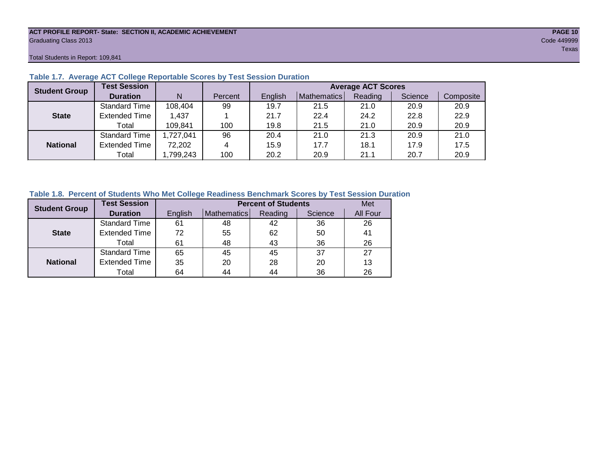#### **ACT PROFILE REPORT- State: SECTION II, ACADEMIC ACHIEVEMENT PAGE 10** Graduating Class 2013 Code 449999

Total Students in Report: 109,841

| <b>Student Group</b> | <b>Test Session</b>  |          |         | <b>Average ACT Scores</b> |             |         |         |           |  |  |  |  |
|----------------------|----------------------|----------|---------|---------------------------|-------------|---------|---------|-----------|--|--|--|--|
|                      | <b>Duration</b>      | N        | Percent | English                   | Mathematics | Reading | Science | Composite |  |  |  |  |
|                      | <b>Standard Time</b> | 108,404  | 99      | 19.7                      | 21.5        | 21.0    | 20.9    | 20.9      |  |  |  |  |
| <b>State</b>         | <b>Extended Time</b> | 1.437    |         | 21.7                      | 22.4        | 24.2    | 22.8    | 22.9      |  |  |  |  |
|                      | Total                | 109,841  | 100     | 19.8                      | 21.5        | 21.0    | 20.9    | 20.9      |  |  |  |  |
|                      | <b>Standard Time</b> | ,727,041 | 96      | 20.4                      | 21.0        | 21.3    | 20.9    | 21.0      |  |  |  |  |
| <b>National</b>      | <b>Extended Time</b> | 72,202   | 4       | 15.9                      | 17.7        | 18.1    | 17.9    | 17.5      |  |  |  |  |
|                      | Total                | ,799,243 | 100     | 20.2                      | 20.9        | 21.1    | 20.7    | 20.9      |  |  |  |  |

# **Table 1.7. Average ACT College Reportable Scores by Test Session Duration**

# **Table 1.8. Percent of Students Who Met College Readiness Benchmark Scores by Test Session Duration**

| <b>Student Group</b> | <b>Test Session</b>  |         | <b>Percent of Students</b> | Met     |         |          |
|----------------------|----------------------|---------|----------------------------|---------|---------|----------|
|                      | <b>Duration</b>      | English | Mathematics                | Reading | Science | All Four |
|                      | <b>Standard Time</b> | 61      | 48                         | 42      | 36      | 26       |
| <b>State</b>         | <b>Extended Time</b> | 72      | 55                         | 62      | 50      | 41       |
|                      | Total                | 61      | 48                         | 43      | 36      | 26       |
|                      | <b>Standard Time</b> | 65      | 45                         | 45      | 37      | 27       |
| <b>National</b>      | <b>Extended Time</b> | 35      | 20                         | 28      | 20      | 13       |
|                      | Total                | 64      | 44                         | 44      | 36      | 26       |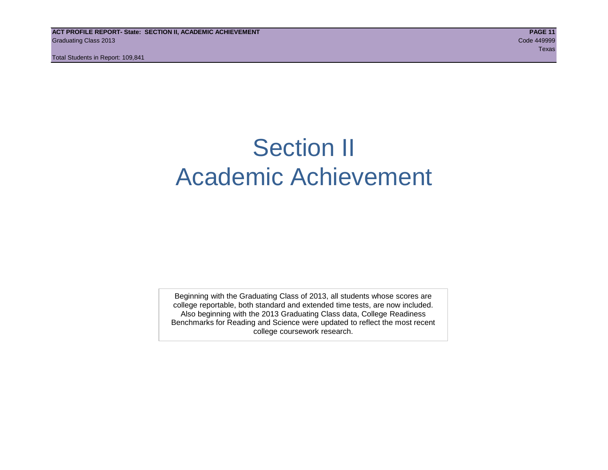# Section II Academic Achievement

Beginning with the Graduating Class of 2013, all students whose scores are college reportable, both standard and extended time tests, are now included. Also beginning with the 2013 Graduating Class data, College Readiness Benchmarks for Reading and Science were updated to reflect the most recent college coursework research.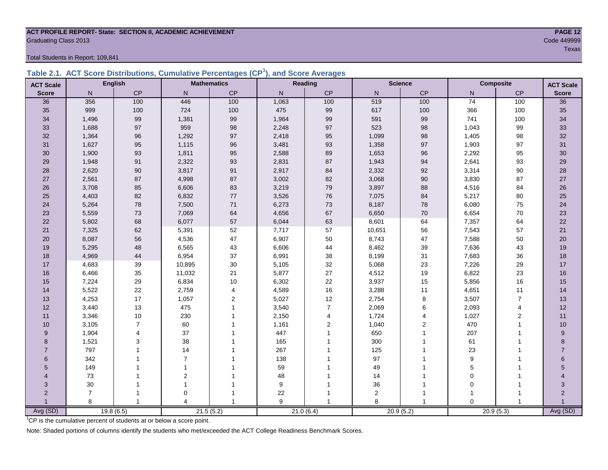#### **ACT PROFILE REPORT- State: SECTION II, ACADEMIC ACHIEVEMENT PAGE 12** Code 449999 Craduating Class 2013

Total Students in Report: 109,841

|  |  |  | Table 2.1. ACT Score Distributions, Cumulative Percentages (CP <sup>1</sup> ), and Score Averages |
|--|--|--|---------------------------------------------------------------------------------------------------|
|  |  |  |                                                                                                   |

| <b>ACT Scale</b> |                | <b>English</b> |                | <b>Mathematics</b>      |              | Reading        |           | <b>Science</b> |                 | <b>Composite</b> | <b>ACT Scale</b>         |
|------------------|----------------|----------------|----------------|-------------------------|--------------|----------------|-----------|----------------|-----------------|------------------|--------------------------|
| <b>Score</b>     | N              | CP             | $\mathsf{N}$   | CP                      | $\mathsf{N}$ | CP             | ${\sf N}$ | $\mathsf{CP}$  | N               | CP               | <b>Score</b>             |
| 36               | 356            | 100            | 446            | 100                     | 1,063        | 100            | 519       | 100            | $\overline{74}$ | 100              | 36                       |
| 35               | 999            | 100            | 724            | 100                     | 475          | 99             | 617       | 100            | 366             | 100              | 35                       |
| 34               | 1,496          | 99             | 1,381          | 99                      | 1,964        | 99             | 591       | 99             | 741             | 100              | 34                       |
| 33               | 1,688          | 97             | 959            | 98                      | 2,248        | 97             | 523       | 98             | 1,043           | 99               | 33                       |
| 32               | 1,364          | 96             | 1,292          | 97                      | 2,418        | 95             | 1,099     | 98             | 1,405           | 98               | 32                       |
| 31               | 1,627          | 95             | 1,115          | 96                      | 3,481        | 93             | 1,358     | 97             | 1,903           | 97               | 31                       |
| 30               | 1,900          | 93             | 1,811          | 95                      | 2,588        | 89             | 1,653     | 96             | 2,292           | 95               | 30                       |
| 29               | 1,948          | 91             | 2,322          | 93                      | 2,831        | 87             | 1,943     | 94             | 2,641           | 93               | 29                       |
| 28               | 2,620          | $90\,$         | 3,817          | 91                      | 2,917        | 84             | 2,332     | 92             | 3,314           | 90               | 28                       |
| 27               | 2,561          | 87             | 4,998          | 87                      | 3,002        | 82             | 3,068     | 90             | 3,830           | 87               | 27                       |
| 26               | 3,708          | 85             | 6,606          | 83                      | 3,219        | 79             | 3,897     | 88             | 4,516           | 84               | 26                       |
| 25               | 4,403          | 82             | 6,832          | 77                      | 3,526        | 76             | 7,075     | 84             | 5,217           | 80               | 25                       |
| 24               | 5,264          | 78             | 7,500          | $71$                    | 6,273        | 73             | 8,187     | 78             | 6,080           | 75               | 24                       |
| 23               | 5,559          | 73             | 7,069          | 64                      | 4,656        | 67             | 6,650     | $70\,$         | 6,654           | $70\,$           | 23                       |
| 22               | 5,802          | 68             | 6,077          | 57                      | 6,044        | 63             | 8,601     | 64             | 7,357           | 64               | 22                       |
| 21               | 7,325          | 62             | 5,391          | 52                      | 7,717        | 57             | 10,651    | 56             | 7,543           | 57               | 21                       |
| 20               | 8,087          | 56             | 4,536          | 47                      | 6,907        | 50             | 8,743     | 47             | 7,588           | 50               | 20                       |
| 19               | 5,295          | 48             | 6,565          | 43                      | 6,606        | 44             | 8,462     | 39             | 7,636           | 43               | 19                       |
| 18               | 4,969          | 44             | 6,954          | 37                      | 6,991        | 38             | 8,199     | 31             | 7,683           | 36               | 18                       |
| 17               | 4,683          | 39             | 10,895         | $30\,$                  | 5,105        | 32             | 5,068     | 23             | 7,226           | 29               | $17\,$                   |
| 16               | 6,466          | 35             | 11,032         | 21                      | 5,877        | 27             | 4,512     | 19             | 6,822           | 23               | 16                       |
| 15               | 7,224          | 29             | 6,834          | 10                      | 6,302        | 22             | 3,937     | $15\,$         | 5,856           | 16               | 15                       |
| 14               | 5,522          | 22             | 2,759          | $\overline{\mathbf{4}}$ | 4,589        | 16             | 3,288     | 11             | 4,651           | 11               | 14                       |
| 13               | 4,253          | 17             | 1,057          | $\overline{c}$          | 5,027        | 12             | 2,754     | $\bf 8$        | 3,507           | $\overline{7}$   | 13                       |
| 12               | 3,440          | 13             | 475            | $\overline{1}$          | 3,540        | $\overline{7}$ | 2,069     | 6              | 2,093           | $\overline{4}$   | 12                       |
| 11               | 3,346          | $10$           | 230            |                         | 2,150        | 4              | 1,724     | $\overline{4}$ | 1,027           | 2                | 11                       |
| 10               | 3,105          | $\overline{7}$ | 60             |                         | 1,161        | $\overline{2}$ | 1,040     | $\overline{2}$ | 470             |                  | 10                       |
| 9                | 1,904          | 4              | 37             |                         | 447          |                | 650       |                | 207             |                  | 9                        |
| 8                | 1,521          | 3              | 38             |                         | 165          |                | 300       |                | 61              |                  | 8                        |
| $\overline{7}$   | 797            | 1              | 14             |                         | 267          |                | 125       |                | 23              |                  |                          |
| 6                | 342            |                | $\overline{7}$ |                         | 138          |                | 97        |                | 9               |                  | 6                        |
| 5                | 149            |                | $\overline{1}$ |                         | 59           |                | 49        |                | 5               |                  | 5                        |
| 4                | 73             |                | $\mathbf{2}$   |                         | 48           |                | 14        |                | $\mathbf 0$     |                  |                          |
| 3                | 30             |                | $\overline{1}$ |                         | 9            |                | 36        |                | $\Omega$        |                  | 3                        |
| $\overline{2}$   | $\overline{7}$ | 1              | $\mathbf 0$    |                         | 22           |                | 2         | 1              |                 |                  | $\overline{\mathcal{L}}$ |
|                  | 8              | $\mathbf{1}$   | $\Delta$       |                         | 9            |                | 8         |                | $\Omega$        |                  |                          |
| Avg (SD)         |                | 19.8(6.5)      |                | 21.5(5.2)               |              | 21.0(6.4)      |           | 20.9(5.2)      |                 | 20.9(5.3)        | Avg (SD)                 |

<sup>1</sup>CP is the cumulative percent of students at or below a score point.

Note: Shaded portions of columns identify the students who met/exceeded the ACT College Readiness Benchmark Scores.

teration of the contract of the contract of the contract of the contract of the contract of the contract of the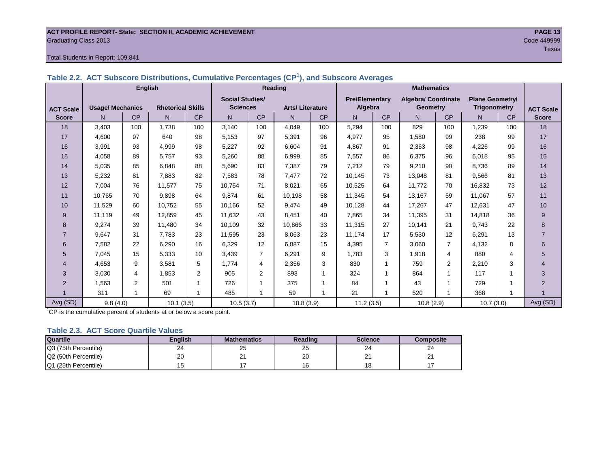#### **ACT PROFILE REPORT- State: SECTION II, ACADEMIC ACHIEVEMENT PAGE 13** Graduating Class 2013 Code 449999

#### Total Students in Report: 109,841

|                  |                         | <b>English</b> |                          |                |                        |                | Reading                |           | <b>Mathematics</b>    |                |                            |                |                        |           |                  |
|------------------|-------------------------|----------------|--------------------------|----------------|------------------------|----------------|------------------------|-----------|-----------------------|----------------|----------------------------|----------------|------------------------|-----------|------------------|
|                  |                         |                |                          |                | <b>Social Studies/</b> |                |                        |           | <b>Pre/Elementary</b> |                | <b>Algebra/ Coordinate</b> |                | <b>Plane Geometry/</b> |           |                  |
| <b>ACT Scale</b> | <b>Usage/ Mechanics</b> |                | <b>Rhetorical Skills</b> |                | <b>Sciences</b>        |                | <b>Arts/Literature</b> |           | Algebra               |                | <b>Geometry</b>            |                | <b>Trigonometry</b>    |           | <b>ACT Scale</b> |
| <b>Score</b>     | N.                      | <b>CP</b>      | N                        | CP             | N                      | <b>CP</b>      | N                      | <b>CP</b> | N                     | <b>CP</b>      | N.                         | <b>CP</b>      | N.                     | <b>CP</b> | <b>Score</b>     |
| 18               | 3,403                   | 100            | 1.738                    | 100            | 3.140                  | 100            | 4,049                  | 100       | 5,294                 | 100            | 829                        | 100            | 1,239                  | 100       | 18               |
| 17               | 4,600                   | 97             | 640                      | 98             | 5,153                  | 97             | 5,391                  | 96        | 4,977                 | 95             | 1,580                      | 99             | 238                    | 99        | 17               |
| 16               | 3,991                   | 93             | 4,999                    | 98             | 5,227                  | 92             | 6.604                  | 91        | 4,867                 | 91             | 2,363                      | 98             | 4.226                  | 99        | 16               |
| 15               | 4,058                   | 89             | 5.757                    | 93             | 5,260                  | 88             | 6.999                  | 85        | 7,557                 | 86             | 6,375                      | 96             | 6.018                  | 95        | 15               |
| 14               | 5,035                   | 85             | 6,848                    | 88             | 5,690                  | 83             | 7,387                  | 79        | 7,212                 | 79             | 9,210                      | 90             | 8,736                  | 89        | 14               |
| 13               | 5,232                   | 81             | 7,883                    | 82             | 7,583                  | 78             | 7.477                  | 72        | 10,145                | 73             | 13,048                     | 81             | 9,566                  | 81        | 13               |
| 12               | 7.004                   | 76             | 11.577                   | 75             | 10,754                 | 71             | 8,021                  | 65        | 10,525                | 64             | 11.772                     | 70             | 16.832                 | 73        | 12               |
| 11               | 10,765                  | 70             | 9.898                    | 64             | 9,874                  | 61             | 10,198                 | 58        | 11,345                | 54             | 13,167                     | 59             | 11,067                 | 57        | 11               |
| 10               | 11,529                  | 60             | 10,752                   | 55             | 10,166                 | 52             | 9.474                  | 49        | 10,128                | 44             | 17.267                     | 47             | 12,631                 | 47        | 10               |
| 9                | 11.119                  | 49             | 12.859                   | 45             | 11.632                 | 43             | 8.451                  | 40        | 7,865                 | 34             | 11.395                     | 31             | 14.818                 | 36        | 9                |
| 8                | 9,274                   | 39             | 11,480                   | 34             | 10,109                 | 32             | 10.866                 | 33        | 11,315                | 27             | 10,141                     | 21             | 9.743                  | 22        | 8                |
| $\overline{7}$   | 9,647                   | 31             | 7.783                    | 23             | 11,595                 | 23             | 8.063                  | 23        | 11,174                | 17             | 5,530                      | 12             | 6.291                  | 13        | $\overline{7}$   |
| 6                | 7,582                   | 22             | 6,290                    | 16             | 6,329                  | 12             | 6,887                  | 15        | 4,395                 | $\overline{7}$ | 3,060                      | $\overline{7}$ | 4,132                  | 8         | 6                |
| 5                | 7,045                   | 15             | 5,333                    | 10             | 3,439                  | $\overline{7}$ | 6,291                  | 9         | 1.783                 | 3              | 1,918                      | 4              | 880                    | 4         | 5                |
| 4                | 4,653                   | 9              | 3,581                    | 5              | 1,774                  | 4              | 2,356                  | 3         | 830                   | 1              | 759                        | 2              | 2,210                  | 3         | 4                |
| 3                | 3,030                   | 4              | 1,853                    | $\overline{2}$ | 905                    | 2              | 893                    |           | 324                   | $\mathbf 1$    | 864                        | 1              | 117                    |           | 3                |
| $\overline{2}$   | 1,563                   | 2              | 501                      | 1              | 726                    |                | 375                    | 4         | 84                    | 1              | 43                         | 1              | 729                    |           | $\overline{2}$   |
|                  | 311                     | 1              | 69                       | 1              | 485                    |                | 59                     |           | 21                    | 1              | 520                        |                | 368                    | 1         |                  |
| Avg (SD)         | 9.8(4.0)                |                | 10.1(3.5)                |                | 10.5(3.7)              |                | 10.8(3.9)              |           | 11.2(3.5)             |                | 10.8(2.9)                  |                | 10.7(3.0)              |           | Avg (SD)         |

**Table 2.2. ACT Subscore Distributions, Cumulative Percentages (CP<sup>1</sup> ), and Subscore Averages**

 $1$ <sup>T</sup>CP is the cumulative percent of students at or below a score point.

#### **Table 2.3. ACT Score Quartile Values**

| <b>Quartile</b>      | <b>Enalish</b> | <b>Mathematics</b> | Reading | <b>Science</b> | Composite |
|----------------------|----------------|--------------------|---------|----------------|-----------|
| Q3 (75th Percentile) | 24             | 25                 | 25      | 24             | 24        |
| Q2 (50th Percentile) | 20             | <u>_</u>           | 20      | ິ<br>-         | <u>_</u>  |
| Q1 (25th Percentile) |                |                    |         | 1 ດ<br>۱o      |           |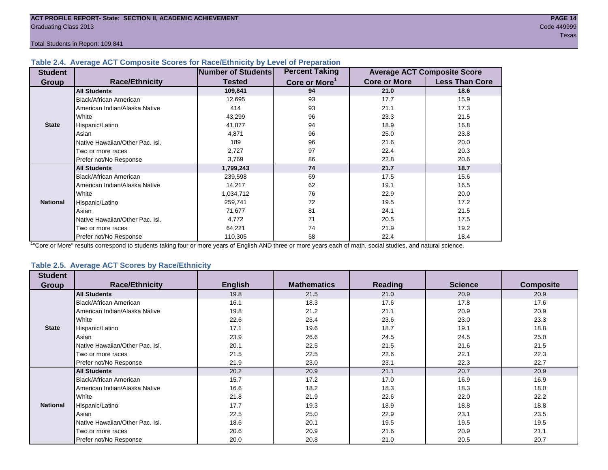#### **Table 2.4. Average ACT Composite Scores for Race/Ethnicity by Level of Preparation**

| <b>Student</b>  |                                 | <b>Number of Students</b> | <b>Percent Taking</b>     |                     | <b>Average ACT Composite Score</b> |
|-----------------|---------------------------------|---------------------------|---------------------------|---------------------|------------------------------------|
| <b>Group</b>    | <b>Race/Ethnicity</b>           | <b>Tested</b>             | Core or More <sup>1</sup> | <b>Core or More</b> | <b>Less Than Core</b>              |
|                 | <b>All Students</b>             | 109,841                   | 94                        | 21.0                | 18.6                               |
|                 | <b>Black/African American</b>   | 12,695                    | 93                        | 17.7                | 15.9                               |
|                 | American Indian/Alaska Native   | 414                       | 93                        | 21.1                | 17.3                               |
|                 | White                           | 43,299                    | 96                        | 23.3                | 21.5                               |
| <b>State</b>    | Hispanic/Latino                 | 41,877                    | 94                        | 18.9                | 16.8                               |
|                 | Asian                           | 4,871                     | 96                        | 25.0                | 23.8                               |
|                 | Native Hawaiian/Other Pac. Isl. | 189                       | 96                        | 21.6                | 20.0                               |
|                 | I Two or more races             | 2,727                     | 97                        | 22.4                | 20.3                               |
|                 | Prefer not/No Response          | 3,769                     | 86                        | 22.8                | 20.6                               |
|                 | <b>All Students</b>             | 1,799,243                 | 74                        | 21.7                | 18.7                               |
|                 | Black/African American          | 239,598                   | 69                        | 17.5                | 15.6                               |
|                 | American Indian/Alaska Native   | 14,217                    | 62                        | 19.1                | 16.5                               |
|                 | <b>White</b>                    | 1,034,712                 | 76                        | 22.9                | 20.0                               |
| <b>National</b> | Hispanic/Latino                 | 259,741                   | 72                        | 19.5                | 17.2                               |
|                 | Asian                           | 71,677                    | 81                        | 24.1                | 21.5                               |
|                 | Native Hawaiian/Other Pac. Isl. | 4,772                     | 71                        | 20.5                | 17.5                               |
|                 | Two or more races               | 64,221                    | 74                        | 21.9                | 19.2                               |
|                 | Prefer not/No Response          | 110,305                   | 58                        | 22.4                | 18.4                               |

<sup>1</sup>"Core or More" results correspond to students taking four or more years of English AND three or more years each of math, social studies, and natural science.

#### **Table 2.5. Average ACT Scores by Race/Ethnicity**

| <b>Student</b>  |                                 |                |                    |                |                |                  |
|-----------------|---------------------------------|----------------|--------------------|----------------|----------------|------------------|
| Group           | <b>Race/Ethnicity</b>           | <b>English</b> | <b>Mathematics</b> | <b>Reading</b> | <b>Science</b> | <b>Composite</b> |
|                 | <b>All Students</b>             | 19.8           | 21.5               | 21.0           | 20.9           | 20.9             |
|                 | Black/African American          | 16.1           | 18.3               | 17.6           | 17.8           | 17.6             |
|                 | American Indian/Alaska Native   | 19.8           | 21.2               | 21.1           | 20.9           | 20.9             |
|                 | White                           | 22.6           | 23.4               | 23.6           | 23.0           | 23.3             |
| <b>State</b>    | Hispanic/Latino                 | 17.1           | 19.6               | 18.7           | 19.1           | 18.8             |
|                 | Asian                           | 23.9           | 26.6               | 24.5           | 24.5           | 25.0             |
|                 | Native Hawaiian/Other Pac. Isl. | 20.1           | 22.5               | 21.5           | 21.6           | 21.5             |
|                 | Two or more races               | 21.5           | 22.5               | 22.6           | 22.1           | 22.3             |
|                 | Prefer not/No Response          | 21.9           | 23.0               | 23.1           | 22.3           | 22.7             |
|                 | <b>All Students</b>             | 20.2           | 20.9               | 21.1           | 20.7           | 20.9             |
|                 | <b>Black/African American</b>   | 15.7           | 17.2               | 17.0           | 16.9           | 16.9             |
|                 | American Indian/Alaska Native   | 16.6           | 18.2               | 18.3           | 18.3           | 18.0             |
|                 | White                           | 21.8           | 21.9               | 22.6           | 22.0           | 22.2             |
| <b>National</b> | Hispanic/Latino                 | 17.7           | 19.3               | 18.9           | 18.8           | 18.8             |
|                 | Asian                           | 22.5           | 25.0               | 22.9           | 23.1           | 23.5             |
|                 | Native Hawaiian/Other Pac. Isl. | 18.6           | 20.1               | 19.5           | 19.5           | 19.5             |
|                 | Two or more races               | 20.6           | 20.9               | 21.6           | 20.9           | 21.1             |
|                 | Prefer not/No Response          | 20.0           | 20.8               | 21.0           | 20.5           | 20.7             |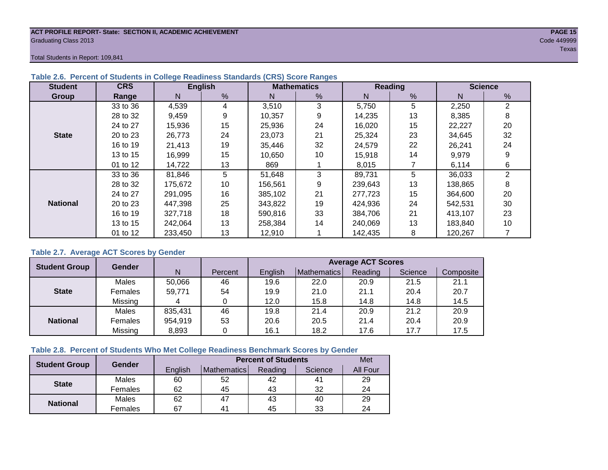#### **ACT PROFILE REPORT- State: SECTION II, ACADEMIC ACHIEVEMENT PAGE 15** Graduating Class 2013 Code 449999

Total Students in Report: 109,841

| <b>Student</b>  | <b>CRS</b> |         | <b>English</b> |         | <b>Mathematics</b> |         | <b>Reading</b> | <b>Science</b> |    |  |
|-----------------|------------|---------|----------------|---------|--------------------|---------|----------------|----------------|----|--|
| <b>Group</b>    | Range      | N       | %              | N       | %                  | N       | %              | N              | %  |  |
|                 | 33 to 36   | 4,539   | 4              | 3,510   | 3                  | 5,750   | 5              | 2,250          | 2  |  |
|                 | 28 to 32   | 9,459   | 9              | 10,357  | 9                  | 14,235  | 13             | 8,385          | 8  |  |
|                 | 24 to 27   | 15,936  | 15             | 25,936  | 24                 | 16,020  | 15             | 22,227         | 20 |  |
| <b>State</b>    | 20 to 23   | 26,773  | 24             | 23,073  | 21                 | 25,324  | 23             | 34,645         | 32 |  |
|                 | 16 to 19   | 21.413  | 19             | 35.446  | 32                 | 24.579  | 22             | 26,241         | 24 |  |
|                 | 13 to 15   | 16,999  | 15             | 10,650  | 10                 | 15,918  | 14             | 9,979          | 9  |  |
|                 | 01 to 12   | 14,722  | 13             | 869     |                    | 8,015   |                | 6,114          | 6  |  |
|                 | 33 to 36   | 81,846  | 5              | 51,648  | 3                  | 89,731  | 5              | 36,033         | 2  |  |
|                 | 28 to 32   | 175,672 | 10             | 156,561 | 9                  | 239,643 | 13             | 138,865        | 8  |  |
|                 | 24 to 27   | 291,095 | 16             | 385.102 | 21                 | 277,723 | 15             | 364,600        | 20 |  |
| <b>National</b> | 20 to 23   | 447,398 | 25             | 343,822 | 19                 | 424,936 | 24             | 542,531        | 30 |  |
|                 | 16 to 19   | 327,718 | 18             | 590,816 | 33                 | 384,706 | 21             | 413,107        | 23 |  |
|                 | 13 to 15   | 242.064 | 13             | 258,384 | 14                 | 240,069 | 13             | 183,840        | 10 |  |
|                 | 01 to 12   | 233,450 | 13             | 12,910  |                    | 142,435 | 8              | 120,267        |    |  |

# **Table 2.6. Percent of Students in College Readiness Standards (CRS) Score Ranges**

### **Table 2.7. Average ACT Scores by Gender**

| <b>Student Group</b> | <b>Gender</b> |         |         | <b>Average ACT Scores</b> |             |         |         |           |  |  |  |
|----------------------|---------------|---------|---------|---------------------------|-------------|---------|---------|-----------|--|--|--|
|                      |               | N       | Percent | Enalish                   | Mathematics | Reading | Science | Composite |  |  |  |
|                      | Males         | 50,066  | 46      | 19.6                      | 22.0        | 20.9    | 21.5    | 21.1      |  |  |  |
| <b>State</b>         | Females       | 59.771  | 54      | 19.9                      | 21.0        | 21.1    | 20.4    | 20.7      |  |  |  |
|                      | Missing       |         |         | 12.0                      | 15.8        | 14.8    | 14.8    | 14.5      |  |  |  |
|                      | Males         | 835,431 | 46      | 19.8                      | 21.4        | 20.9    | 21.2    | 20.9      |  |  |  |
| <b>National</b>      | Females       | 954,919 | 53      | 20.6                      | 20.5        | 21.4    | 20.4    | 20.9      |  |  |  |
|                      | Missing       | 8,893   | 0       | 16.1                      | 18.2        | 17.6    | 17.7    | 17.5      |  |  |  |

# **Table 2.8. Percent of Students Who Met College Readiness Benchmark Scores by Gender**

| <b>Student Group</b> | Gender  |         | <b>Percent of Students</b> |         |         |          |  |  |  |  |
|----------------------|---------|---------|----------------------------|---------|---------|----------|--|--|--|--|
|                      |         | English | Mathematics                | Reading | Science | All Four |  |  |  |  |
| <b>State</b>         | Males   | 60      | 52                         | 42      | 41      | 29       |  |  |  |  |
|                      | Females | 62      | 45                         | 43      | 32      | 24       |  |  |  |  |
|                      | Males   | 62      | 47                         | 43      | 40      | 29       |  |  |  |  |
| <b>National</b>      | Females | 67      | 4 <sup>1</sup>             | 45      | 33      | 24       |  |  |  |  |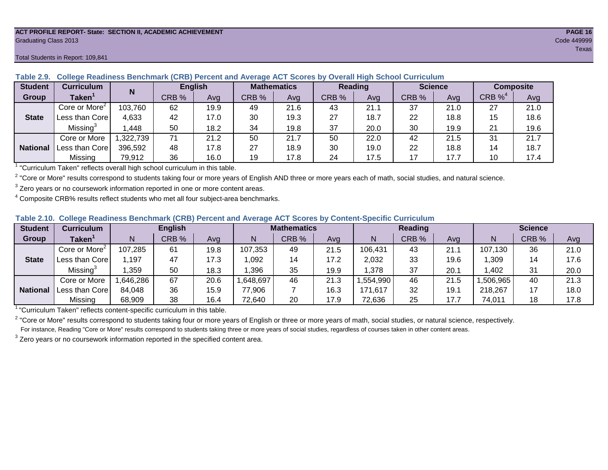#### **ACT PROFILE REPORT- State: SECTION II, ACADEMIC ACHIEVEMENT PAGE 16** Graduating Class 2013 Code 449999

#### Total Students in Report: 109,841

| <b>Student</b>  | <b>Curriculum</b>           | N        | <b>English</b> |      | <b>Mathematics</b> |      | Reading |      | <b>Science</b> |      | <b>Composite</b> |      |
|-----------------|-----------------------------|----------|----------------|------|--------------------|------|---------|------|----------------|------|------------------|------|
| Group           | $\mathsf{Taken}^{\check{}}$ |          | CRB %          | Avg  | CRB %              | Ava  | CRB %   | Avg  | CRB %          | Avg  | CRB $\%^4$       | Avg  |
|                 | Core or More <sup>2</sup>   | 103,760  | 62             | 19.9 | 49                 | 21.6 | 43      | 21.1 | 37             | 21.0 | 27               | 21.0 |
| <b>State</b>    | Less than Corel             | 4,633    | 42             | 17.0 | 30                 | 19.3 | 27      | 18.7 | 22             | 18.8 | 15               | 18.6 |
|                 | Missing <sup>3</sup>        | ,448     | 50             | 18.2 | 34                 | 19.8 | 37      | 20.0 | 30             | 19.9 | 21               | 19.6 |
|                 | Core or More                | ,322,739 | 71             | 21.2 | 50                 | 21.7 | 50      | 22.0 | 42             | 21.5 | 31               | 21.7 |
| <b>National</b> | Less than Core              | 396,592  | 48             | 17.8 | 27                 | 18.9 | 30      | 19.0 | 22             | 18.8 | 14               | 18.7 |
|                 | Missing                     | 79,912   | 36             | 16.0 | 19                 | 17.8 | 24      | 17.5 | 17             | 17.7 | 10               | 17.4 |

### **Table 2.9. College Readiness Benchmark (CRB) Percent and Average ACT Scores by Overall High School Curriculum**

<sup>1</sup> "Curriculum Taken" reflects overall high school curriculum in this table.

 $^2$  "Core or More" results correspond to students taking four or more years of English AND three or more years each of math, social studies, and natural science.

 $3$  Zero years or no coursework information reported in one or more content areas.

 $4$  Composite CRB% results reflect students who met all four subject-area benchmarks.

#### **Table 2.10. College Readiness Benchmark (CRB) Percent and Average ACT Scores by Content-Specific Curriculum**

| <b>Student</b>  | Curriculum                    |          | <b>English</b> |      | <b>Mathematics</b> |       |      | <b>Reading</b> |       |      | <b>Science</b> |       |      |
|-----------------|-------------------------------|----------|----------------|------|--------------------|-------|------|----------------|-------|------|----------------|-------|------|
| Group           | $\mathsf{Taken}^{\mathsf{T}}$ |          | CRB %          | Avg  | N                  | CRB % | Avg  | N              | CRB % | Avg  | N              | CRB % | Avg  |
|                 | Core or More <sup>2</sup>     | 107,285  | 61             | 19.8 | 107,353            | 49    | 21.5 | 106,431        | 43    | 21.7 | 107,130        | 36    | 21.0 |
| <b>State</b>    | Less than Core                | .197     | 47             | 17.3 | .092               | 14    | 17.2 | 2,032          | 33    | 19.6 | ,309           | 14    | 17.6 |
|                 | Missing <sup>3</sup>          | ,359     | 50             | 18.3 | ,396               | 35    | 19.9 | ,378           | 37    | 20.7 | .402           | 31    | 20.0 |
|                 | Core or More                  | .646,286 | 67             | 20.6 | ,648,697           | 46    | 21.3 | ,554,990       | 46    | 21.5 | ,506,965       | 40    | 21.3 |
| <b>National</b> | <b>I Less than Corel</b>      | 84,048   | 36             | 15.9 | 77,906             |       | 16.3 | 171,617        | 32    | 19.7 | 218,267        |       | 18.0 |
|                 | Missing                       | 68,909   | 38             | 16.4 | 72,640             | 20    | 17.9 | 72,636         | 25    | 17.7 | 74,011         | 18    | 17.8 |

<sup>1</sup>"Curriculum Taken" reflects content-specific curriculum in this table.

<sup>2</sup> "Core or More" results correspond to students taking four or more years of English or three or more years of math, social studies, or natural science, respectively. For instance, Reading "Core or More" results correspond to students taking three or more years of social studies, regardless of courses taken in other content areas.

 $3$  Zero years or no coursework information reported in the specified content area.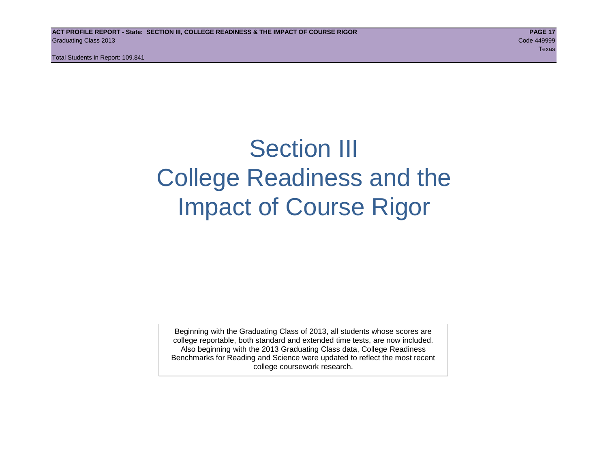# Section III College Readiness and the Impact of Course Rigor

Beginning with the Graduating Class of 2013, all students whose scores are college reportable, both standard and extended time tests, are now included. Also beginning with the 2013 Graduating Class data, College Readiness Benchmarks for Reading and Science were updated to reflect the most recent college coursework research.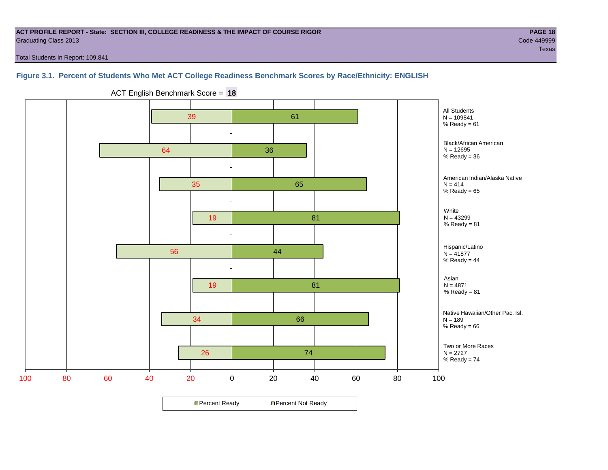#### **ACT PROFILE REPORT - State: SECTION III, COLLEGE READINESS & THE IMPACT OF COURSE RIGOR PAGE 18** Graduating Class 2013 Code 449999

Total Students in Report: 109,841

# **Figure 3.1. Percent of Students Who Met ACT College Readiness Benchmark Scores by Race/Ethnicity: ENGLISH**



ACT English Benchmark Score = **18**

**□ Percent Ready DPercent Not Ready**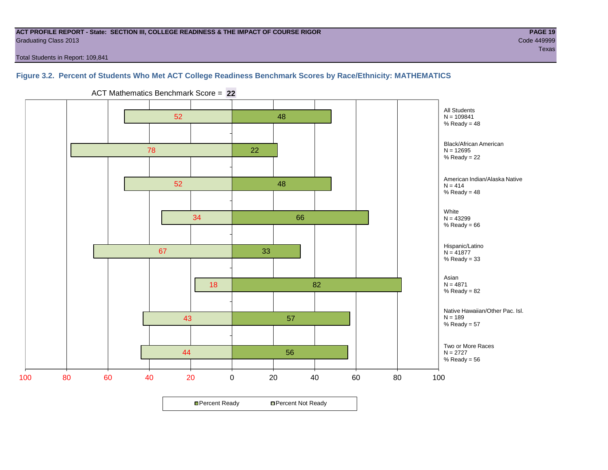#### **ACT PROFILE REPORT - State: SECTION III, COLLEGE READINESS & THE IMPACT OF COURSE RIGOR PAGE 19** Graduating Class 2013 Code 449999

Total Students in Report: 109,841

# **Figure 3.2. Percent of Students Who Met ACT College Readiness Benchmark Scores by Race/Ethnicity: MATHEMATICS**



ACT Mathematics Benchmark Score = **22**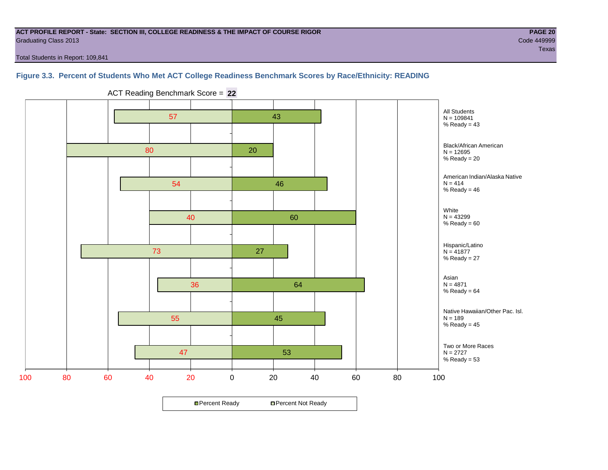#### **ACT PROFILE REPORT - State: SECTION III, COLLEGE READINESS & THE IMPACT OF COURSE RIGOR PAGE 20** Graduating Class 2013 Code 449999

Total Students in Report: 109,841

# **Figure 3.3. Percent of Students Who Met ACT College Readiness Benchmark Scores by Race/Ethnicity: READING**



ACT Reading Benchmark Score = **22**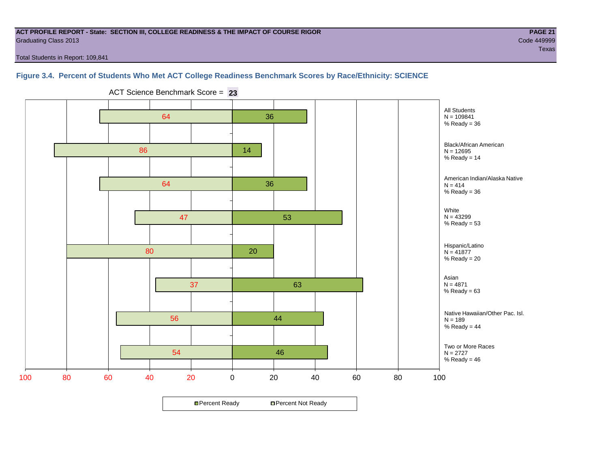#### **ACT PROFILE REPORT - State: SECTION III, COLLEGE READINESS & THE IMPACT OF COURSE RIGOR PAGE 21** Graduating Class 2013 Code 449999

teration of the contract of the contract of the contract of the contract of the contract of the contract of the

Total Students in Report: 109,841

# **Figure 3.4. Percent of Students Who Met ACT College Readiness Benchmark Scores by Race/Ethnicity: SCIENCE**



ACT Science Benchmark Score = **23**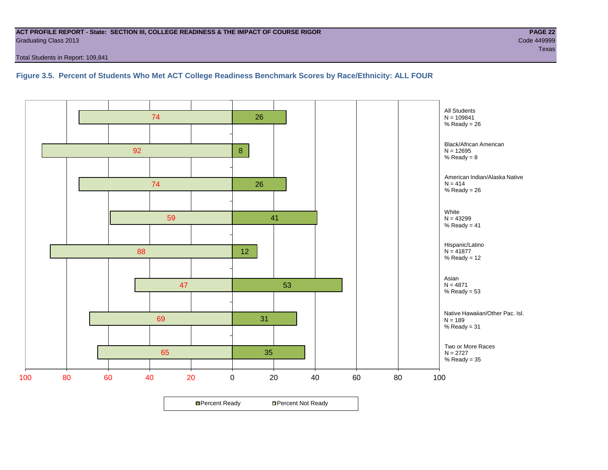#### **ACT PROFILE REPORT - State: SECTION III, COLLEGE READINESS & THE IMPACT OF COURSE RIGOR PAGE 22** Graduating Class 2013 Code 449999

Total Students in Report: 109,841

**Figure 3.5. Percent of Students Who Met ACT College Readiness Benchmark Scores by Race/Ethnicity: ALL FOUR**

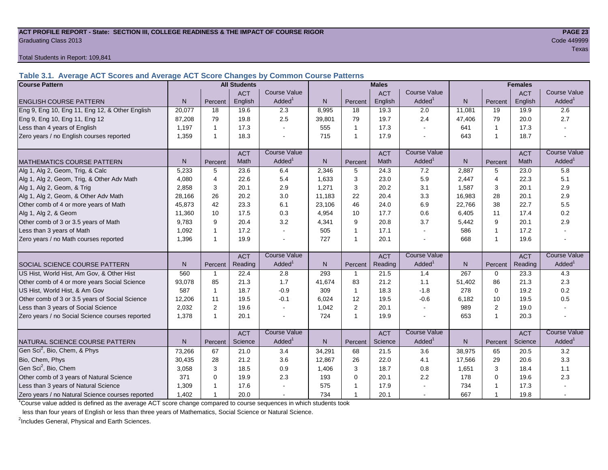#### **ACT PROFILE REPORT - State: SECTION III, COLLEGE READINESS & THE IMPACT OF COURSE RIGOR PAGE 23** Graduating Class 2013 Code 449999

#### Total Students in Report: 109,841

**Table 3.1. Average ACT Scores and Average ACT Score Changes by Common Course Patterns**

| <b>Course Pattern</b>                            |                |              | <b>All Students</b> |                     |        |                | <b>Males</b> |                     |        | <b>Females</b>          |            |                        |  |
|--------------------------------------------------|----------------|--------------|---------------------|---------------------|--------|----------------|--------------|---------------------|--------|-------------------------|------------|------------------------|--|
|                                                  |                |              | <b>ACT</b>          | Course Value        |        |                | <b>ACT</b>   | <b>Course Value</b> |        |                         | <b>ACT</b> | <b>Course Value</b>    |  |
| <b>ENGLISH COURSE PATTERN</b>                    | N <sub>1</sub> | Percent      | English             | Added               | N      | Percent        | English      | Added <sup>1</sup>  | N      | Percent                 | English    | A d d e d <sup>1</sup> |  |
| Eng 9, Eng 10, Eng 11, Eng 12, & Other English   | 20,077         | 18           | 19.6                | 2.3                 | 8,995  | 18             | 19.3         | 2.0                 | 11,081 | 19                      | 19.9       | 2.6                    |  |
| Eng 9, Eng 10, Eng 11, Eng 12                    | 87.208         | 79           | 19.8                | 2.5                 | 39,801 | 79             | 19.7         | 2.4                 | 47,406 | 79                      | 20.0       | 2.7                    |  |
| Less than 4 years of English                     | 1,197          | $\mathbf 1$  | 17.3                |                     | 555    | $\mathbf{1}$   | 17.3         | $\overline{a}$      | 641    | $\mathbf{1}$            | 17.3       |                        |  |
| Zero years / no English courses reported         | 1,359          | $\mathbf 1$  | 18.3                |                     | 715    | $\mathbf{1}$   | 17.9         |                     | 643    | $\overline{1}$          | 18.7       |                        |  |
|                                                  |                |              | <b>ACT</b>          | <b>Course Value</b> |        |                | <b>ACT</b>   | <b>Course Value</b> |        |                         | <b>ACT</b> | <b>Course Value</b>    |  |
| <b>MATHEMATICS COURSE PATTERN</b>                | N.             | Percent      | Math                | Added               | N.     | Percent        | Math         | Added               | N      | Percent                 | Math       | Added <sup>1</sup>     |  |
| Alg 1, Alg 2, Geom, Trig, & Calc                 | 5,233          | 5            | 23.6                | 6.4                 | 2,346  | 5              | 24.3         | 7.2                 | 2,887  | 5                       | 23.0       | 5.8                    |  |
| Alg 1, Alg 2, Geom, Trig, & Other Adv Math       | 4.080          | 4            | 22.6                | 5.4                 | 1.633  | 3              | 23.0         | 5.9                 | 2,447  | $\overline{4}$          | 22.3       | 5.1                    |  |
| Alg 1, Alg 2, Geom, & Trig                       | 2.858          | 3            | 20.1                | 2.9                 | 1,271  | 3              | 20.2         | 3.1                 | 1,587  | 3                       | 20.1       | 2.9                    |  |
| Alg 1, Alg 2, Geom, & Other Adv Math             | 28,166         | 26           | 20.2                | 3.0                 | 11,183 | 22             | 20.4         | 3.3                 | 16,983 | 28                      | 20.1       | 2.9                    |  |
| Other comb of 4 or more years of Math            | 45,873         | 42           | 23.3                | 6.1                 | 23,106 | 46             | 24.0         | 6.9                 | 22,766 | 38                      | 22.7       | 5.5                    |  |
| Alg 1, Alg 2, & Geom                             | 11,360         | 10           | 17.5                | 0.3                 | 4,954  | 10             | 17.7         | 0.6                 | 6,405  | 11                      | 17.4       | 0.2                    |  |
| Other comb of 3 or 3.5 years of Math             | 9.783          | 9            | 20.4                | 3.2                 | 4,341  | 9              | 20.8         | 3.7                 | 5,442  | 9                       | 20.1       | 2.9                    |  |
| Less than 3 years of Math                        | 1.092          | $\mathbf 1$  | 17.2                |                     | 505    | $\mathbf{1}$   | 17.1         | $\sim$              | 586    | $\overline{\mathbf{1}}$ | 17.2       |                        |  |
| Zero years / no Math courses reported            | 1,396          | -1           | 19.9                |                     | 727    | $\mathbf{1}$   | 20.1         | $\overline{a}$      | 668    | $\overline{1}$          | 19.6       | ÷.                     |  |
|                                                  |                |              | <b>ACT</b>          | <b>Course Value</b> |        |                | <b>ACT</b>   | <b>Course Value</b> |        |                         | <b>ACT</b> | <b>Course Value</b>    |  |
| <b>SOCIAL SCIENCE COURSE PATTERN</b>             | N <sub>1</sub> | Percent      | Reading             | Added               | N.     | Percent        | Reading      | Added               | N      | Percent                 | Reading    | A d d e d <sup>1</sup> |  |
| US Hist, World Hist, Am Gov, & Other Hist        | 560            | $\mathbf{1}$ | 22.4                | 2.8                 | 293    | $\mathbf{1}$   | 21.5         | 1.4                 | 267    | $\Omega$                | 23.3       | 4.3                    |  |
| Other comb of 4 or more years Social Science     | 93,078         | 85           | 21.3                | 1.7                 | 41,674 | 83             | 21.2         | 1.1                 | 51,402 | 86                      | 21.3       | 2.3                    |  |
| US Hist, World Hist, & Am Gov                    | 587            | $\mathbf 1$  | 18.7                | $-0.9$              | 309    | $\mathbf{1}$   | 18.3         | $-1.8$              | 278    | $\Omega$                | 19.2       | 0.2                    |  |
| Other comb of 3 or 3.5 years of Social Science   | 12,206         | 11           | 19.5                | $-0.1$              | 6,024  | 12             | 19.5         | $-0.6$              | 6,182  | 10                      | 19.5       | 0.5                    |  |
| Less than 3 years of Social Science              | 2,032          | 2            | 19.6                |                     | 1,042  | 2              | 20.1         | $\sim$              | 989    | $\overline{2}$          | 19.0       |                        |  |
| Zero years / no Social Science courses reported  | 1,378          | $\mathbf 1$  | 20.1                |                     | 724    | $\mathbf{1}$   | 19.9         |                     | 653    | $\overline{1}$          | 20.3       | $\overline{a}$         |  |
|                                                  |                |              | <b>ACT</b>          | <b>Course Value</b> |        |                | <b>ACT</b>   | Course Value        |        |                         | <b>ACT</b> | <b>Course Value</b>    |  |
| NATURAL SCIENCE COURSE PATTERN                   | N              | Percent      | Science             | Added               | N      | Percent        | Science      | Added               | N      | Percent                 | Science    | A d d e d <sup>1</sup> |  |
| Gen Sci <sup>2</sup> , Bio, Chem, & Phys         | 73,266         | 67           | 21.0                | 3.4                 | 34,291 | 68             | 21.5         | 3.6                 | 38,975 | 65                      | 20.5       | 3.2                    |  |
| Bio, Chem, Phys                                  | 30,435         | 28           | 21.2                | 3.6                 | 12,867 | 26             | 22.0         | 4.1                 | 17,566 | 29                      | 20.6       | 3.3                    |  |
| Gen Sci <sup>2</sup> , Bio, Chem                 | 3,058          | 3            | 18.5                | 0.9                 | 1,406  | 3              | 18.7         | 0.8                 | 1,651  | 3                       | 18.4       | 1.1                    |  |
| Other comb of 3 years of Natural Science         | 371            | $\mathbf 0$  | 19.9                | 2.3                 | 193    | $\mathbf 0$    | 20.1         | 2.2                 | 178    | 0                       | 19.6       | 2.3                    |  |
| Less than 3 years of Natural Science             | 1,309          |              | 17.6                |                     | 575    | $\overline{1}$ | 17.9         |                     | 734    |                         | 17.3       |                        |  |
| Zero years / no Natural Science courses reported | 1,402          |              | 20.0                |                     | 734    | $\mathbf{1}$   | 20.1         |                     | 667    | 1                       | 19.8       |                        |  |

<sup>1</sup>Course value added is defined as the average ACT score change compared to course sequences in which students took

less than four years of English or less than three years of Mathematics, Social Science or Natural Science.

<sup>2</sup>Includes General, Physical and Earth Sciences.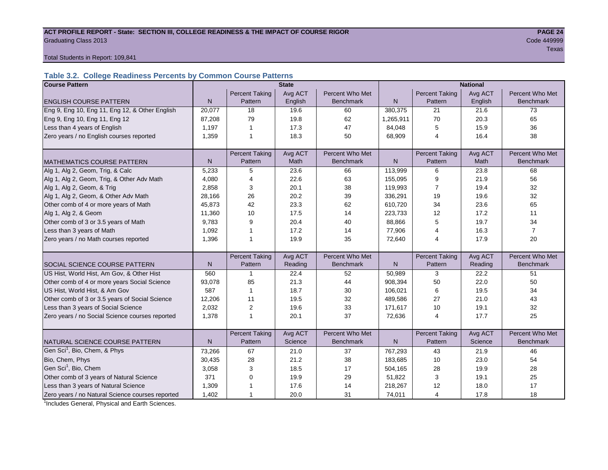#### ACT PROFILE REPORT - State: SECTION III, COLLEGE READINESS & THE IMPACT OF COURSE RIGOR **PAGE 24 Graduating Class 2013** Code 449999

tera de la construcción de la construcción de la construcción de la construcción de la construcción de la cons

#### Total Students in Report: 109,841

# **Table 3.2. College Readiness Percents by Common Course Patterns**

| <b>Course Pattern</b>                            | <b>State</b><br><b>National</b> |                       |         |                  |              |                       |         |                  |
|--------------------------------------------------|---------------------------------|-----------------------|---------|------------------|--------------|-----------------------|---------|------------------|
|                                                  |                                 | <b>Percent Taking</b> | Avg ACT | Percent Who Met  |              | <b>Percent Taking</b> | Avg ACT | Percent Who Met  |
| <b>ENGLISH COURSE PATTERN</b>                    | $\mathsf{N}$                    | Pattern               | English | <b>Benchmark</b> | $\mathsf{N}$ | Pattern               | English | <b>Benchmark</b> |
| Eng 9, Eng 10, Eng 11, Eng 12, & Other English   | 20,077                          | 18                    | 19.6    | 60               | 380,375      | 21                    | 21.6    | 73               |
| Eng 9, Eng 10, Eng 11, Eng 12                    | 87,208                          | 79                    | 19.8    | 62               | 1,265,911    | 70                    | 20.3    | 65               |
| Less than 4 years of English                     | 1,197                           | $\overline{1}$        | 17.3    | 47               | 84,048       | 5                     | 15.9    | 36               |
| Zero years / no English courses reported         | 1,359                           | 1                     | 18.3    | 50               | 68,909       | $\overline{4}$        | 16.4    | 38               |
|                                                  |                                 |                       |         |                  |              |                       |         |                  |
|                                                  |                                 | <b>Percent Taking</b> | Avg ACT | Percent Who Met  |              | <b>Percent Taking</b> | Avg ACT | Percent Who Met  |
| <b>MATHEMATICS COURSE PATTERN</b>                | N                               | Pattern               | Math    | <b>Benchmark</b> | N            | Pattern               | Math    | <b>Benchmark</b> |
| Alg 1, Alg 2, Geom, Trig, & Calc                 | 5,233                           | 5                     | 23.6    | 66               | 113,999      | 6                     | 23.8    | 68               |
| Alg 1, Alg 2, Geom, Trig, & Other Adv Math       | 4,080                           | $\overline{4}$        | 22.6    | 63               | 155,095      | 9                     | 21.9    | 56               |
| Alg 1, Alg 2, Geom, & Trig                       | 2,858                           | 3                     | 20.1    | 38               | 119,993      | 7                     | 19.4    | 32               |
| Alg 1, Alg 2, Geom, & Other Adv Math             | 28,166                          | 26                    | 20.2    | 39               | 336,291      | 19                    | 19.6    | 32               |
| Other comb of 4 or more years of Math            | 45,873                          | 42                    | 23.3    | 62               | 610,720      | 34                    | 23.6    | 65               |
| Alg 1, Alg 2, & Geom                             | 11,360                          | 10                    | 17.5    | 14               | 223,733      | 12                    | 17.2    | 11               |
| Other comb of 3 or 3.5 years of Math             | 9.783                           | 9                     | 20.4    | 40               | 88,866       | 5                     | 19.7    | 34               |
| Less than 3 years of Math                        | 1,092                           |                       | 17.2    | 14               | 77,906       | 4                     | 16.3    | $\overline{7}$   |
| Zero years / no Math courses reported            | 1,396                           | 1                     | 19.9    | 35               | 72,640       | 4                     | 17.9    | 20               |
|                                                  |                                 |                       |         |                  |              |                       |         |                  |
|                                                  |                                 | <b>Percent Taking</b> | Avg ACT | Percent Who Met  |              | Percent Taking        | Avg ACT | Percent Who Met  |
| <b>SOCIAL SCIENCE COURSE PATTERN</b>             | N                               | Pattern               | Reading | <b>Benchmark</b> | N            | Pattern               | Reading | <b>Benchmark</b> |
| US Hist, World Hist, Am Gov, & Other Hist        | 560                             | $\mathbf 1$           | 22.4    | 52               | 50,989       | 3                     | 22.2    | 51               |
| Other comb of 4 or more years Social Science     | 93,078                          | 85                    | 21.3    | 44               | 908,394      | 50                    | 22.0    | 50               |
| US Hist, World Hist, & Am Gov                    | 587                             | $\mathbf{1}$          | 18.7    | 30               | 106,021      | 6                     | 19.5    | 34               |
| Other comb of 3 or 3.5 years of Social Science   | 12,206                          | 11                    | 19.5    | 32               | 489,586      | 27                    | 21.0    | 43               |
| Less than 3 years of Social Science              | 2,032                           | 2                     | 19.6    | 33               | 171,617      | 10                    | 19.1    | 32               |
| Zero years / no Social Science courses reported  | 1,378                           | $\overline{1}$        | 20.1    | 37               | 72,636       | $\overline{4}$        | 17.7    | 25               |
|                                                  |                                 |                       |         |                  |              |                       |         |                  |
|                                                  |                                 | <b>Percent Taking</b> | Avg ACT | Percent Who Met  |              | <b>Percent Taking</b> | Avg ACT | Percent Who Met  |
| NATURAL SCIENCE COURSE PATTERN                   | N                               | Pattern               | Science | <b>Benchmark</b> | N            | Pattern               | Science | <b>Benchmark</b> |
| Gen Sci <sup>1</sup> , Bio, Chem, & Phys         | 73,266                          | 67                    | 21.0    | 37               | 767,293      | 43                    | 21.9    | 46               |
| Bio, Chem, Phys                                  | 30,435                          | 28                    | 21.2    | 38               | 183,685      | 10                    | 23.0    | 54               |
| Gen Sci <sup>1</sup> , Bio, Chem                 | 3,058                           | 3                     | 18.5    | 17               | 504,165      | 28                    | 19.9    | 28               |
| Other comb of 3 years of Natural Science         | 371                             | $\mathbf 0$           | 19.9    | 29               | 51,822       | 3                     | 19.1    | 25               |
| Less than 3 years of Natural Science             | 1,309                           |                       | 17.6    | 14               | 218,267      | 12                    | 18.0    | 17               |
| Zero years / no Natural Science courses reported | 1,402                           | 1                     | 20.0    | 31               | 74,011       | 4                     | 17.8    | 18               |

<sup>1</sup>Includes General, Physical and Earth Sciences.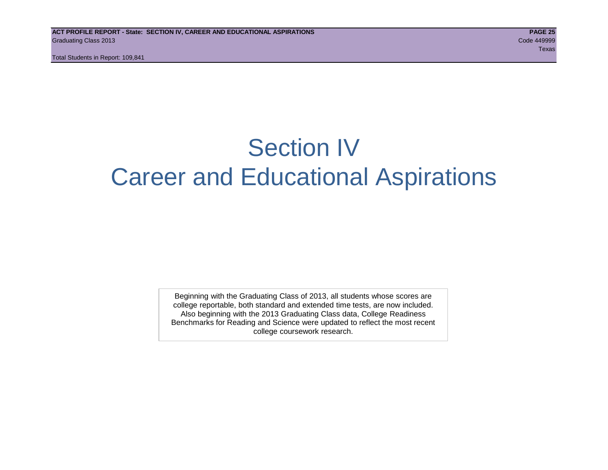# Section IV Career and Educational Aspirations

Beginning with the Graduating Class of 2013, all students whose scores are college reportable, both standard and extended time tests, are now included. Also beginning with the 2013 Graduating Class data, College Readiness Benchmarks for Reading and Science were updated to reflect the most recent college coursework research.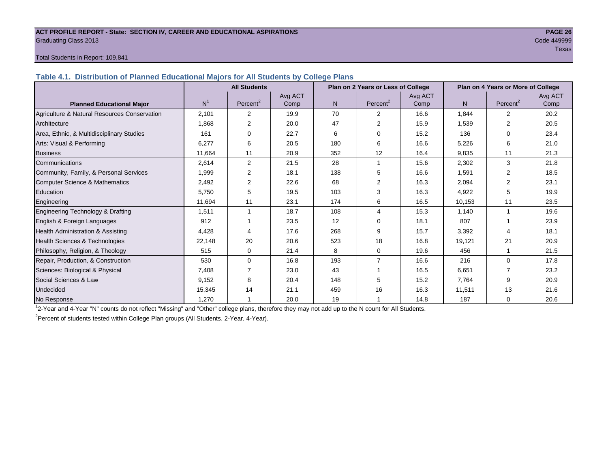#### **ACT PROFILE REPORT - State: SECTION IV, CAREER AND EDUCATIONAL ASPIRATIONS PAGE 26** Graduating Class 2013 Code 449999

# teration of the contract of the contract of the contract of the contract of the contract of the contract of the

#### Total Students in Report: 109,841

**Table 4.1. Distribution of Planned Educational Majors for All Students by College Plans**

|                                              | <b>All Students</b><br>Plan on 2 Years or Less of College |                      |         |                |                      |         |                | Plan on 4 Years or More of College |         |
|----------------------------------------------|-----------------------------------------------------------|----------------------|---------|----------------|----------------------|---------|----------------|------------------------------------|---------|
|                                              |                                                           |                      | Avg ACT |                |                      | Avg ACT |                |                                    | Avg ACT |
| <b>Planned Educational Major</b>             | N <sup>1</sup>                                            | Percent <sup>2</sup> | Comp    | N <sub>1</sub> | Percent <sup>2</sup> | Comp    | N <sub>1</sub> | Percent <sup>2</sup>               | Comp    |
| Agriculture & Natural Resources Conservation | 2,101                                                     | 2                    | 19.9    | 70             | 2                    | 16.6    | 1,844          | $\overline{2}$                     | 20.2    |
| Architecture                                 | 1.868                                                     | 2                    | 20.0    | 47             | 2                    | 15.9    | 1,539          | 2                                  | 20.5    |
| Area, Ethnic, & Multidisciplinary Studies    | 161                                                       | 0                    | 22.7    | 6              | $\Omega$             | 15.2    | 136            | 0                                  | 23.4    |
| Arts: Visual & Performing                    | 6,277                                                     | 6                    | 20.5    | 180            | 6                    | 16.6    | 5,226          | 6                                  | 21.0    |
| <b>Business</b>                              | 11,664                                                    | 11                   | 20.9    | 352            | 12                   | 16.4    | 9,835          | 11                                 | 21.3    |
| Communications                               | 2,614                                                     | $\overline{2}$       | 21.5    | 28             |                      | 15.6    | 2,302          | 3                                  | 21.8    |
| Community, Family, & Personal Services       | 1,999                                                     | 2                    | 18.1    | 138            | 5                    | 16.6    | 1,591          | $\overline{2}$                     | 18.5    |
| Computer Science & Mathematics               | 2,492                                                     | 2                    | 22.6    | 68             | 2                    | 16.3    | 2,094          | 2                                  | 23.1    |
| Education                                    | 5,750                                                     | 5                    | 19.5    | 103            | 3                    | 16.3    | 4,922          | 5                                  | 19.9    |
| Engineering                                  | 11,694                                                    | 11                   | 23.1    | 174            | 6                    | 16.5    | 10,153         | 11                                 | 23.5    |
| Engineering Technology & Drafting            | 1,511                                                     | 1                    | 18.7    | 108            | $\overline{4}$       | 15.3    | 1,140          | 1                                  | 19.6    |
| English & Foreign Languages                  | 912                                                       |                      | 23.5    | 12             | $\Omega$             | 18.1    | 807            |                                    | 23.9    |
| <b>Health Administration &amp; Assisting</b> | 4,428                                                     | 4                    | 17.6    | 268            | 9                    | 15.7    | 3,392          | 4                                  | 18.1    |
| Health Sciences & Technologies               | 22,148                                                    | 20                   | 20.6    | 523            | 18                   | 16.8    | 19,121         | 21                                 | 20.9    |
| Philosophy, Religion, & Theology             | 515                                                       | 0                    | 21.4    | 8              | $\mathbf 0$          | 19.6    | 456            |                                    | 21.5    |
| Repair, Production, & Construction           | 530                                                       | $\Omega$             | 16.8    | 193            | $\overline{7}$       | 16.6    | 216            | $\Omega$                           | 17.8    |
| Sciences: Biological & Physical              | 7,408                                                     |                      | 23.0    | 43             |                      | 16.5    | 6,651          |                                    | 23.2    |
| Social Sciences & Law                        | 9,152                                                     | 8                    | 20.4    | 148            | 5                    | 15.2    | 7,764          | 9                                  | 20.9    |
| Undecided                                    | 15,345                                                    | 14                   | 21.1    | 459            | 16                   | 16.3    | 11,511         | 13                                 | 21.6    |
| No Response                                  | 1.270                                                     |                      | 20.0    | 19             |                      | 14.8    | 187            | $\mathbf 0$                        | 20.6    |

1 2-Year and 4-Year "N" counts do not reflect "Missing" and "Other" college plans, therefore they may not add up to the N count for All Students.

<sup>2</sup> Percent of students tested within College Plan groups (All Students, 2-Year, 4-Year).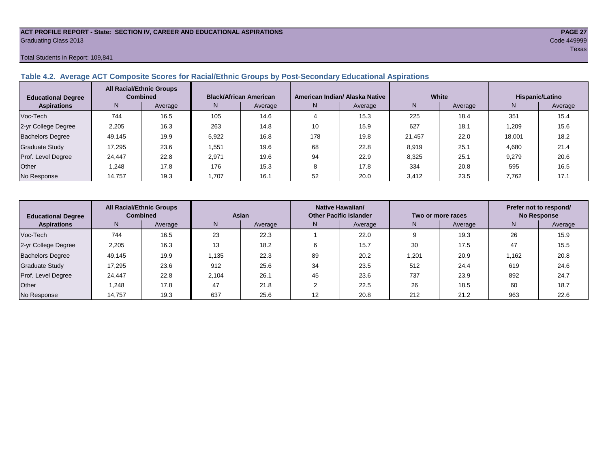#### **ACT PROFILE REPORT - State: SECTION IV, CAREER AND EDUCATIONAL ASPIRATIONS PAGE 27** Graduating Class 2013 Code 449999

#### Total Students in Report: 109,841

# **Table 4.2. Average ACT Composite Scores for Racial/Ethnic Groups by Post-Secondary Educational Aspirations**

| <b>Educational Degree</b> | <b>All Racial/Ethnic Groups</b><br><b>Combined</b> |         |       | <b>Black/African American</b> |     | American Indian/ Alaska Native |        | White   | Hispanic/Latino |         |  |
|---------------------------|----------------------------------------------------|---------|-------|-------------------------------|-----|--------------------------------|--------|---------|-----------------|---------|--|
| <b>Aspirations</b>        | N.                                                 | Average | N.    | Average                       | N   | Average                        | N      | Average | N               | Average |  |
| Voc-Tech                  | 744                                                | 16.5    | 105   | 14.6                          |     | 15.3                           | 225    | 18.4    | 351             | 15.4    |  |
| 2-yr College Degree       | 2,205                                              | 16.3    | 263   | 14.8                          | 10  | 15.9                           | 627    | 18.1    | .209            | 15.6    |  |
| <b>Bachelors Degree</b>   | 49.145                                             | 19.9    | 5.922 | 16.8                          | 178 | 19.8                           | 21.457 | 22.0    | 18.001          | 18.2    |  |
| <b>Graduate Study</b>     | 17.295                                             | 23.6    | .551  | 19.6                          | 68  | 22.8                           | 8,919  | 25.1    | 4.680           | 21.4    |  |
| Prof. Level Degree        | 24.447                                             | 22.8    | 2.971 | 19.6                          | 94  | 22.9                           | 8.325  | 25.1    | 9,279           | 20.6    |  |
| Other                     | 1.248                                              | 17.8    | 176   | 15.3                          | 8   | 17.8                           | 334    | 20.8    | 595             | 16.5    |  |
| No Response               | 14,757                                             | 19.3    | 1.707 | 16.1                          | 52  | 20.0                           | 3,412  | 23.5    | 7,762           | 17.1    |  |

| <b>Educational Degree</b> | <b>All Racial/Ethnic Groups</b><br><b>Combined</b> |         | Asian |         | Native Hawaiian/<br><b>Other Pacific Islander</b> |         | Two or more races |         | Prefer not to respond/<br><b>No Response</b> |         |  |
|---------------------------|----------------------------------------------------|---------|-------|---------|---------------------------------------------------|---------|-------------------|---------|----------------------------------------------|---------|--|
| <b>Aspirations</b>        | N.                                                 | Average | N.    | Average | N                                                 | Average | N                 | Average | N                                            | Average |  |
| Voc-Tech                  | 744                                                | 16.5    | 23    | 22.3    |                                                   | 22.0    |                   | 19.3    | 26                                           | 15.9    |  |
| 2-yr College Degree       | 2,205                                              | 16.3    | 13    | 18.2    |                                                   | 15.7    | 30                | 17.5    | 47                                           | 15.5    |  |
| <b>Bachelors Degree</b>   | 49,145                                             | 19.9    | .135  | 22.3    | 89                                                | 20.2    | 1,201             | 20.9    | 1,162                                        | 20.8    |  |
| <b>Graduate Study</b>     | 17,295                                             | 23.6    | 912   | 25.6    | 34                                                | 23.5    | 512               | 24.4    | 619                                          | 24.6    |  |
| Prof. Level Degree        | 24,447                                             | 22.8    | 2.104 | 26.1    | 45                                                | 23.6    | 737               | 23.9    | 892                                          | 24.7    |  |
| Other                     | 1.248                                              | 17.8    | 47    | 21.8    |                                                   | 22.5    | 26                | 18.5    | 60                                           | 18.7    |  |
| No Response               | 14,757                                             | 19.3    | 637   | 25.6    | $12 \overline{ }$                                 | 20.8    | 212               | 21.2    | 963                                          | 22.6    |  |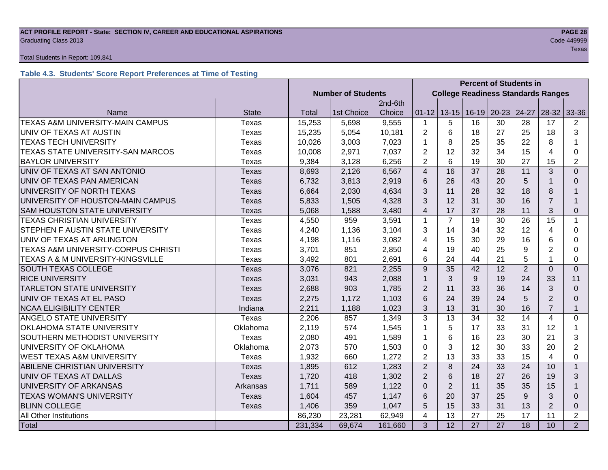#### **ACT PROFILE REPORT - State: SECTION IV, CAREER AND EDUCATIONAL ASPIRATIONS PAGE 28 Graduating Class 2013** Code 449999 Code 449999

#### Total Students in Report: 109,841

# **Table 4.3. Students' Score Report Preferences at Time of Testing**

|                                      |              |                           |                                           |         |                         | <b>Percent of Students in</b> |         |           |                |                |                |  |
|--------------------------------------|--------------|---------------------------|-------------------------------------------|---------|-------------------------|-------------------------------|---------|-----------|----------------|----------------|----------------|--|
|                                      |              | <b>Number of Students</b> | <b>College Readiness Standards Ranges</b> |         |                         |                               |         |           |                |                |                |  |
|                                      |              |                           |                                           | 2nd-6th |                         |                               |         |           |                |                |                |  |
| Name                                 | <b>State</b> | Total                     | 1st Choice                                | Choice  | $01 - 12$               | $13 - 15$                     | $16-19$ | $20 - 23$ | 24-27          | $28-32$        | 33-36          |  |
| TEXAS A&M UNIVERSITY-MAIN CAMPUS     | Texas        | 15,253                    | 5,698                                     | 9,555   | 1                       | 5                             | 16      | 30        | 28             | 17             | 2              |  |
| UNIV OF TEXAS AT AUSTIN              | Texas        | 15,235                    | 5,054                                     | 10,181  | $\overline{2}$          | 6                             | 18      | 27        | 25             | 18             | 3              |  |
| <b>TEXAS TECH UNIVERSITY</b>         | Texas        | 10,026                    | 3,003                                     | 7,023   | 1                       | 8                             | 25      | 35        | 22             | 8              |                |  |
| TEXAS STATE UNIVERSITY-SAN MARCOS    | Texas        | 10,008                    | 2,971                                     | 7,037   | $\overline{2}$          | 12                            | 32      | 34        | 15             | 4              | 0              |  |
| <b>BAYLOR UNIVERSITY</b>             | Texas        | 9,384                     | 3,128                                     | 6,256   | $\overline{2}$          | 6                             | 19      | 30        | 27             | 15             | $\overline{2}$ |  |
| UNIV OF TEXAS AT SAN ANTONIO         | <b>Texas</b> | 8,693                     | 2,126                                     | 6,567   | $\overline{\mathbf{4}}$ | 16                            | 37      | 28        | 11             | 3              | $\Omega$       |  |
| UNIV OF TEXAS PAN AMERICAN           | Texas        | 6,732                     | 3,813                                     | 2,919   | 6                       | 26                            | 43      | 20        | 5              |                | 0              |  |
| UNIVERSITY OF NORTH TEXAS            | Texas        | 6,664                     | 2,030                                     | 4,634   | 3                       | 11                            | 28      | 32        | 18             | 8              |                |  |
| UNIVERSITY OF HOUSTON-MAIN CAMPUS    | <b>Texas</b> | 5,833                     | 1,505                                     | 4,328   | 3                       | 12                            | 31      | 30        | 16             | $\overline{7}$ |                |  |
| <b>SAM HOUSTON STATE UNIVERSITY</b>  | Texas        | 5,068                     | 1,588                                     | 3,480   | $\overline{4}$          | 17                            | 37      | 28        | 11             | 3              | $\Omega$       |  |
| <b>TEXAS CHRISTIAN UNIVERSITY</b>    | Texas        | 4,550                     | 959                                       | 3,591   | $\mathbf{1}$            | $\overline{7}$                | 19      | 30        | 26             | 15             | $\mathbf{1}$   |  |
| STEPHEN F AUSTIN STATE UNIVERSITY    | Texas        | 4,240                     | 1,136                                     | 3,104   | 3                       | 14                            | 34      | 32        | 12             | 4              | 0              |  |
| UNIV OF TEXAS AT ARLINGTON           | Texas        | 4,198                     | 1,116                                     | 3,082   | 4                       | 15                            | 30      | 29        | 16             | 6              | 0              |  |
| TEXAS A&M UNIVERSITY-CORPUS CHRISTI  | Texas        | 3,701                     | 851                                       | 2,850   | 4                       | 19                            | 40      | 25        | 9              | $\overline{2}$ | 0              |  |
| TEXAS A & M UNIVERSITY-KINGSVILLE    | Texas        | 3,492                     | 801                                       | 2,691   | 6                       | 24                            | 44      | 21        | 5              |                | $\Omega$       |  |
| <b>SOUTH TEXAS COLLEGE</b>           | <b>Texas</b> | 3,076                     | 821                                       | 2,255   | 9                       | 35                            | 42      | 12        | $\overline{2}$ | $\Omega$       | $\Omega$       |  |
| <b>RICE UNIVERSITY</b>               | Texas        | 3,031                     | 943                                       | 2,088   | $\mathbf{1}$            | 3                             | 9       | 19        | 24             | 33             | 11             |  |
| <b>TARLETON STATE UNIVERSITY</b>     | Texas        | 2,688                     | 903                                       | 1,785   | 2                       | 11                            | 33      | 36        | 14             | 3              | 0              |  |
| UNIV OF TEXAS AT EL PASO             | Texas        | 2,275                     | 1,172                                     | 1,103   | 6                       | 24                            | 39      | 24        | 5              | 2              | 0              |  |
| <b>NCAA ELIGIBILITY CENTER</b>       | Indiana      | 2,211                     | 1,188                                     | 1,023   | 3                       | 13                            | 31      | 30        | 16             | $\overline{7}$ | $\mathbf{1}$   |  |
| ANGELO STATE UNIVERSITY              | Texas        | 2,206                     | 857                                       | 1,349   | 3                       | 13                            | 34      | 32        | 14             | $\overline{4}$ | $\Omega$       |  |
| OKLAHOMA STATE UNIVERSITY            | Oklahoma     | 2,119                     | 574                                       | 1,545   | 1                       | 5                             | 17      | 33        | 31             | 12             |                |  |
| SOUTHERN METHODIST UNIVERSITY        | Texas        | 2,080                     | 491                                       | 1,589   | 1                       | 6                             | 16      | 23        | 30             | 21             | 3              |  |
| UNIVERSITY OF OKLAHOMA               | Oklahoma     | 2,073                     | 570                                       | 1,503   | $\Omega$                | 3                             | 12      | 30        | 33             | 20             | $\overline{2}$ |  |
| <b>WEST TEXAS A&amp;M UNIVERSITY</b> | Texas        | 1,932                     | 660                                       | 1,272   | $\overline{2}$          | 13                            | 33      | 33        | 15             | 4              | 0              |  |
| ABILENE CHRISTIAN UNIVERSITY         | <b>Texas</b> | 1,895                     | 612                                       | 1,283   | 2                       | 8                             | 24      | 33        | 24             | 10             | $\mathbf{1}$   |  |
| UNIV OF TEXAS AT DALLAS              | Texas        | 1,720                     | 418                                       | 1,302   | $\overline{2}$          | 6                             | 18      | 27        | 26             | 19             | 3              |  |
| UNIVERSITY OF ARKANSAS               | Arkansas     | 1,711                     | 589                                       | 1,122   | $\Omega$                | $\overline{2}$                | 11      | 35        | 35             | 15             |                |  |
| <b>TEXAS WOMAN'S UNIVERSITY</b>      | Texas        | 1,604                     | 457                                       | 1,147   | 6                       | 20                            | 37      | 25        | 9              | 3              | $\Omega$       |  |
| <b>BLINN COLLEGE</b>                 | Texas        | 1,406                     | 359                                       | 1,047   | 5                       | 15                            | 33      | 31        | 13             | $\overline{2}$ | 0              |  |
| All Other Institutions               |              | 86,230                    | 23,281                                    | 62,949  | 4                       | 13                            | 27      | 25        | 17             | 11             | $\overline{2}$ |  |
| <b>Total</b>                         |              | 231,334                   | 69,674                                    | 161,660 | 3                       | $\overline{12}$               | 27      | 27        | 18             | 10             | 2              |  |

tera de la construcción de la construcción de la construcción de la construcción de la construcción de la const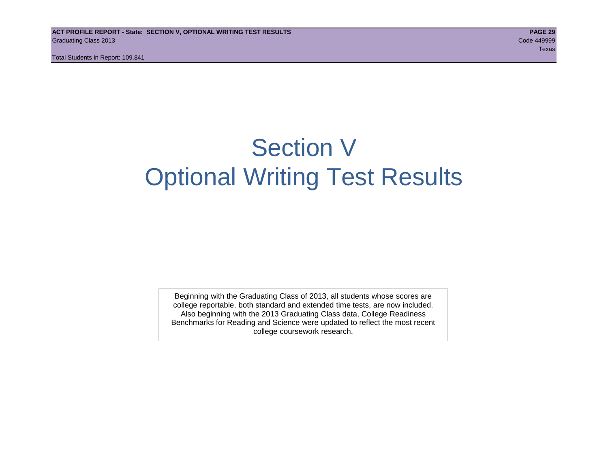# Section V Optional Writing Test Results

Beginning with the Graduating Class of 2013, all students whose scores are college reportable, both standard and extended time tests, are now included. Also beginning with the 2013 Graduating Class data, College Readiness Benchmarks for Reading and Science were updated to reflect the most recent college coursework research.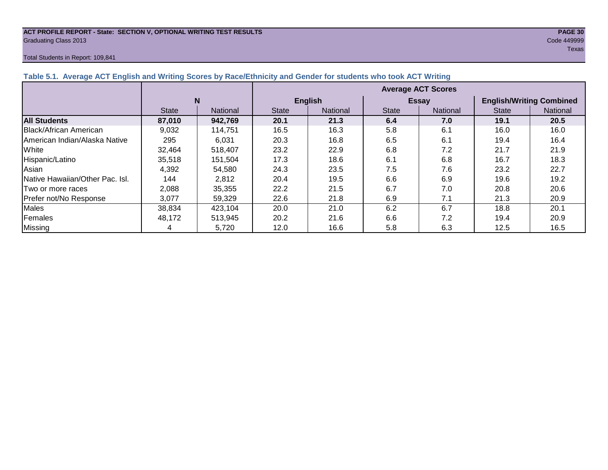#### **ACT PROFILE REPORT - State: SECTION V, OPTIONAL WRITING TEST RESULTS PAGE 30** Graduating Class 2013 Code 449999

#### Total Students in Report: 109,841

|                               |              |                 | <b>Average ACT Scores</b> |                 |              |              |                                 |          |  |  |
|-------------------------------|--------------|-----------------|---------------------------|-----------------|--------------|--------------|---------------------------------|----------|--|--|
|                               |              |                 | <b>English</b>            |                 |              | <b>Essay</b> | <b>English/Writing Combined</b> |          |  |  |
|                               | <b>State</b> | <b>National</b> | <b>State</b>              | <b>National</b> | <b>State</b> | National     | <b>State</b>                    | National |  |  |
| <b>All Students</b>           | 87,010       | 942,769         | 20.1                      | 21.3            | 6.4          | 7.0          | 19.1                            | 20.5     |  |  |
| Black/African American        | 9,032        | 114.751         | 16.5                      | 16.3            | 5.8          | 6.1          | 16.0                            | 16.0     |  |  |
| American Indian/Alaska Native | 295          | 6.031           | 20.3                      | 16.8            | 6.5          | 6.1          | 19.4                            | 16.4     |  |  |
| White                         | 32,464       | 518,407         | 23.2                      | 22.9            | 6.8          | 7.2          | 21.7                            | 21.9     |  |  |
| Hispanic/Latino               | 35.518       | 151.504         | 17.3                      | 18.6            | 6.1          | 6.8          | 16.7                            | 18.3     |  |  |

Asian 4,392 54,580 24.3 23.5 7.5 7.6 23.2 22.7 Native Hawaiian/Other Pac. Isl. | 144 | 2,812 | 20.4 | 19.5 | 6.6 | 6.9 | 19.6 | 19.2 |Two or more races | 2,088 | 35,355 | 22.2 | 21.5 | 6.7 | 7.0 | 20.8 | 20.6 Prefer not/No Response | 3,077 | 59,329 | 22.6 | 21.8 | 6.9 | 7.1 | 21.3 | 20.9 Males | 38,834 | 423,104 | 20.0 | 21.0 | 6.2 | 6.7 | 18.8 | 20.1 Females | 48,172 | 513,945 | 20.2 | 21.6 | 6.6 | 7.2 | 19.4 | 20.9 Missing | 4 | 5,720 | 12.0 | 16.6 | 5.8 | 6.3 | 12.5 | 16.5